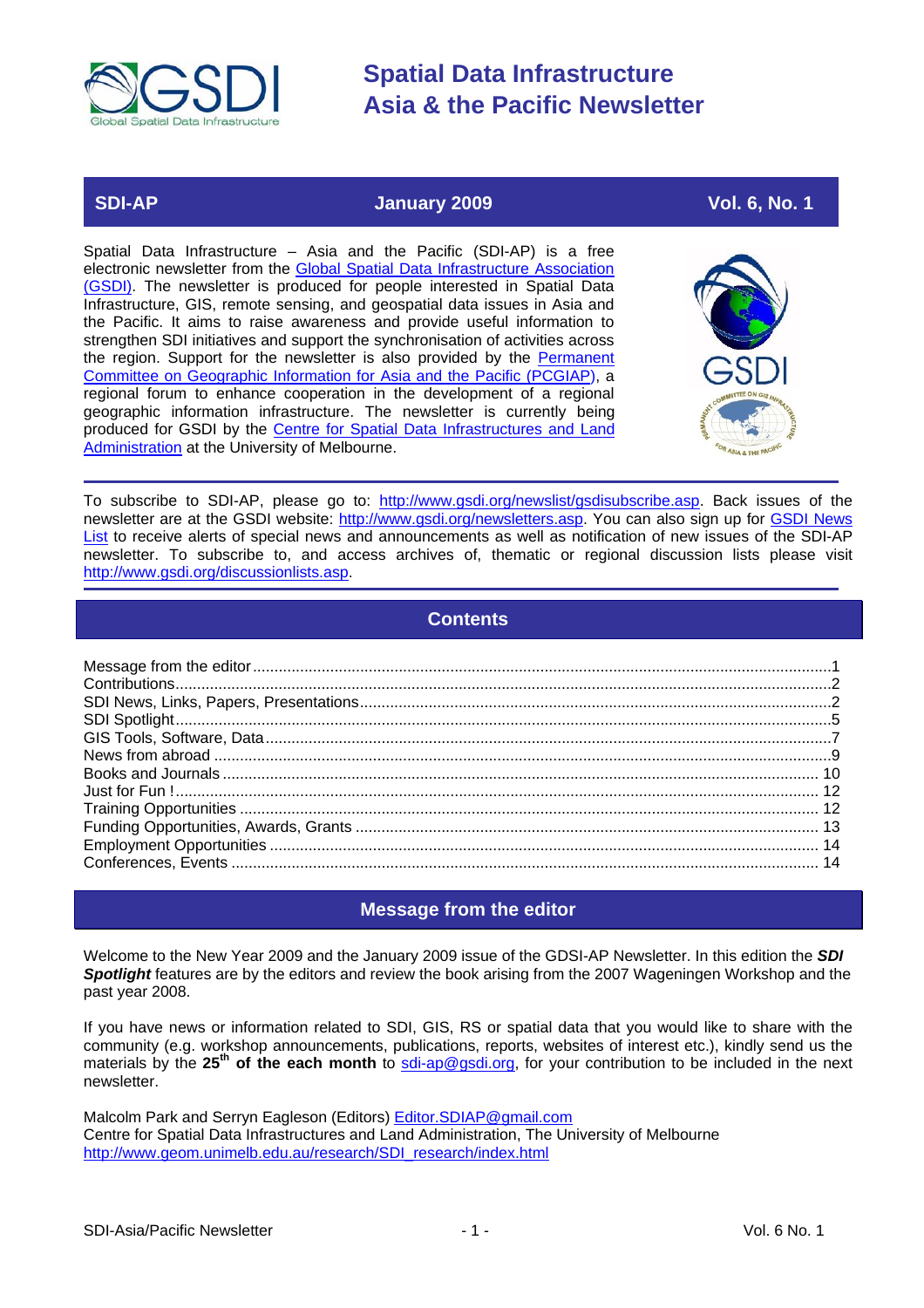<span id="page-0-0"></span>

### **SDI-AP 3009** January 2009 2009 Vol. 6, No. 1

Spatial Data Infrastructure – Asia and the Pacific (SDI-AP) is a free electronic newsletter from the Global Spatial Data Infrastructure Association [\(GSDI\).](http://www.gsdi.org/) The newsletter is produced for people interested in Spatial Data Infrastructure, GIS, remote sensing, and geospatial data issues in Asia and the Pacific. It aims to raise awareness and provide useful information to strengthen SDI initiatives and support the synchronisation of activities across the region. Support for the newsletter is also provided by the [Permanent](http://www.pcgiap.org/)  [Committee on Geographic Information for Asia and the Pacific \(PCGIAP\)](http://www.pcgiap.org/), a regional forum to enhance cooperation in the development of a regional geographic information infrastructure. The newsletter is currently being produced for GSDI by the [Centre for Spatial Data Infrastructures and Land](http://www.geom.unimelb.edu.au/research/SDI_research/index.html)  [Administration a](http://www.geom.unimelb.edu.au/research/SDI_research/index.html)t the University of Melbourne.



To subscribe to SDI-AP, please go to: [http://www.gsdi.org/newslist/gsdisubscribe.asp.](http://www.gsdi.org/newslist/gsdisubscribe.asp) Back issues of the newsletter are at the GSDI website: [http://www.gsdi.org/newsletters.asp.](http://www.gsdi.org/newsletters.asp) You can also sign up for [GSDI News](http://www.gsdi.org/newslist/gsdisubscribe.asp)  [List](http://www.gsdi.org/newslist/gsdisubscribe.asp) to receive alerts of special news and announcements as well as notification of new issues of the SDI-AP newsletter. To subscribe to, and access archives of, thematic or regional discussion lists please visit [http://www.gsdi.org/discussionlists.asp.](http://www.gsdi.org/discussionlists.asp)

### **Contents**

### **Message from the editor**

Welcome to the New Year 2009 and the January 2009 issue of the GDSI-AP Newsletter. In this edition the *SDI Spotlight* features are by the editors and review the book arising from the 2007 Wageningen Workshop and the past year 2008.

If you have news or information related to SDI, GIS, RS or spatial data that you would like to share with the community (e.g. workshop announcements, publications, reports, websites of interest etc.), kindly send us the materials by the 25<sup>th</sup> of the each month to [sdi-ap@gsdi.org,](mailto:sdi-ap@gsdi.org) for your contribution to be included in the next newsletter.

Malcolm Park and Serryn Eagleson (Editors) [Editor.SDIAP@gmail.com](mailto:Editor.SDIAP@gmail.com) Centre for Spatial Data Infrastructures and Land Administration, The University of Melbourne [http://www.geom.unimelb.edu.au/research/SDI\\_research/index.html](http://www.geom.unimelb.edu.au/research/SDI_research/index.html)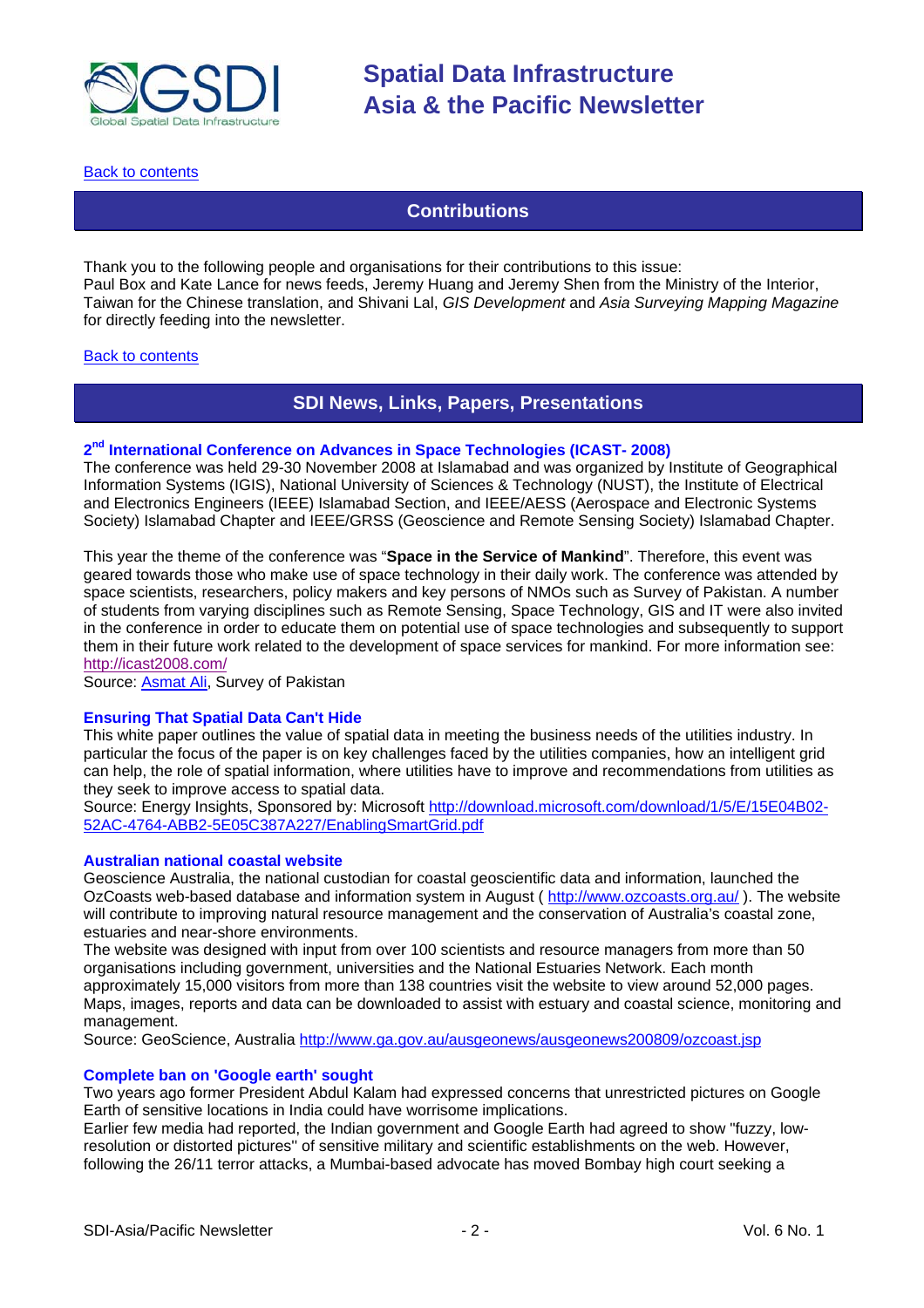<span id="page-1-0"></span>

[Back to contents](#page-0-0)

### **Contributions**

Thank you to the following people and organisations for their contributions to this issue: Paul Box and Kate Lance for news feeds, Jeremy Huang and Jeremy Shen from the Ministry of the Interior, Taiwan for the Chinese translation, and Shivani Lal, *GIS Development* and *Asia Surveying Mapping Magazine* for directly feeding into the newsletter.

#### [Back to contents](#page-0-0)

### **SDI News, Links, Papers, Presentations**

#### **2nd International Conference on Advances in Space Technologies (ICAST- 2008)**

The conference was held 29-30 November 2008 at Islamabad and was organized by Institute of Geographical Information Systems (IGIS), National University of Sciences & Technology (NUST), the Institute of Electrical and Electronics Engineers (IEEE) Islamabad Section, and IEEE/AESS (Aerospace and Electronic Systems Society) Islamabad Chapter and IEEE/GRSS (Geoscience and Remote Sensing Society) Islamabad Chapter.

This year the theme of the conference was "**Space in the Service of Mankind**". Therefore, this event was geared towards those who make use of space technology in their daily work. The conference was attended by space scientists, researchers, policy makers and key persons of NMOs such as Survey of Pakistan. A number of students from varying disciplines such as Remote Sensing, Space Technology, GIS and IT were also invited in the conference in order to educate them on potential use of space technologies and subsequently to support them in their future work related to the development of space services for mankind. For more information see: <http://icast2008.com/>

Source[: Asmat Ali,](http://www.geocities.com/asmatali/) Survey of Pakistan

#### **Ensuring That Spatial Data Can't Hide**

This white paper outlines the value of spatial data in meeting the business needs of the utilities industry. In particular the focus of the paper is on key challenges faced by the utilities companies, how an intelligent grid can help, the role of spatial information, where utilities have to improve and recommendations from utilities as they seek to improve access to spatial data.

[Source: Energy Insights, Sponsored by: Microsoft http://download.microsoft.com/download/1/5/E/15E04B02-](http://download.microsoft.com/download/1/5/E/15E04B02-52AC-4764-ABB2-5E05C387A227/EnablingSmartGrid.pdf) 52AC-4764-ABB2-5E05C387A227/EnablingSmartGrid.pdf

#### **Australian national coastal website**

Geoscience Australia, the national custodian for coastal geoscientific data and information, launched the OzCoasts web-based database and information system in August (http://www.ozcoasts.org.au/). The website will contribute to improving natural resource management and the conservation of Australia's coastal zone, estuaries and near-shore environments.

The website was designed with input from over 100 scientists and resource managers from more than 50 organisations including government, universities and the National Estuaries Network. Each month approximately 15,000 visitors from more than 138 countries visit the website to view around 52,000 pages. Maps, images, reports and data can be downloaded to assist with estuary and coastal science, monitoring and management.

Source: GeoScience, Australia <http://www.ga.gov.au/ausgeonews/ausgeonews200809/ozcoast.jsp>

#### **Complete ban on 'Google earth' sought**

Two years ago former President Abdul Kalam had expressed concerns that unrestricted pictures on Google Earth of sensitive locations in India could have worrisome implications.

Earlier few media had reported, the Indian government and Google Earth had agreed to show "fuzzy, lowresolution or distorted pictures'' of sensitive military and scientific establishments on the web. However, following the 26/11 terror attacks, a Mumbai-based advocate has moved Bombay high court seeking a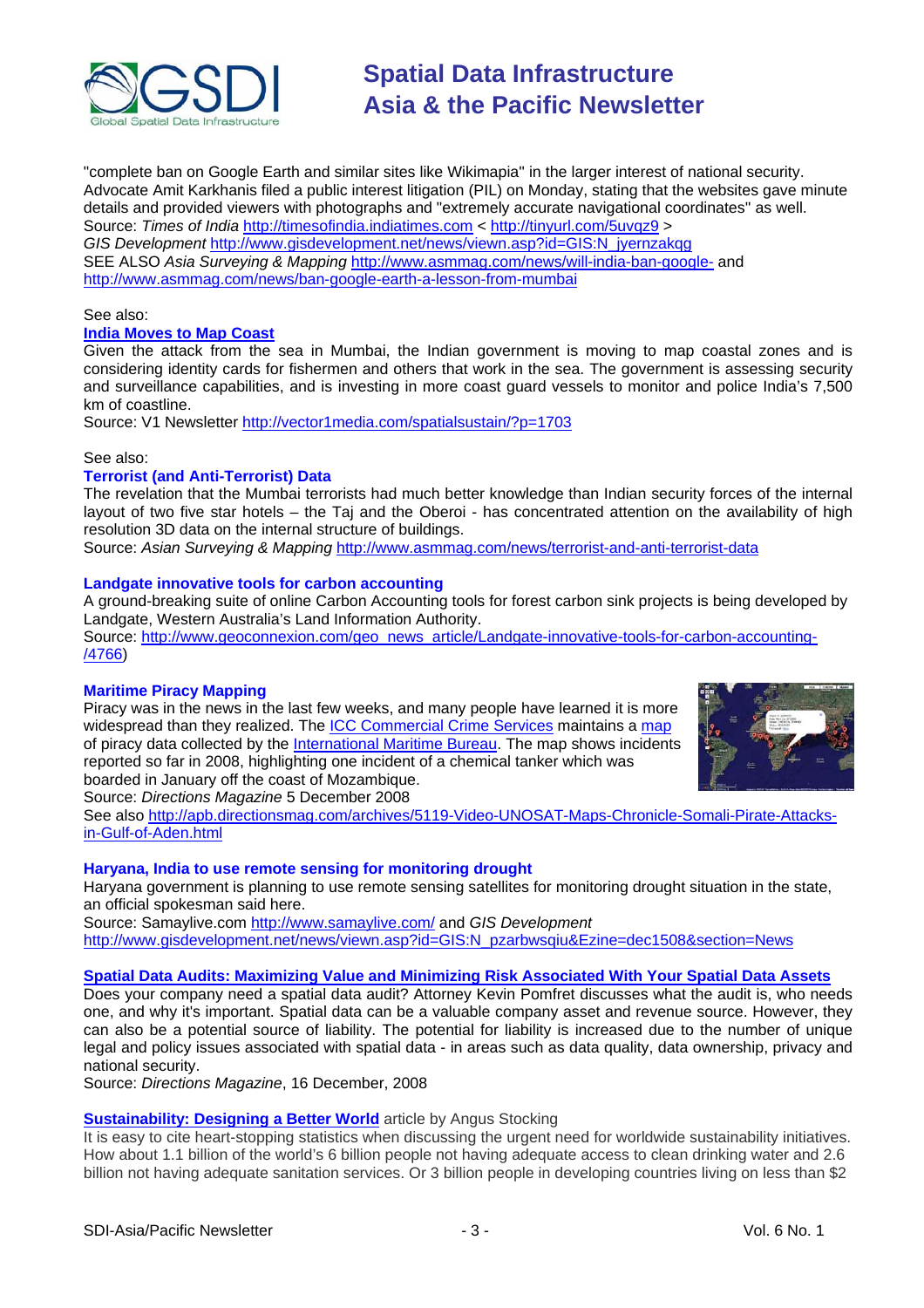

"complete ban on Google Earth and similar sites like Wikimapia'' in the larger interest of national security. Advocate Amit Karkhanis filed a public interest litigation (PIL) on Monday, stating that the websites gave minute details and provided viewers with photographs and "extremely accurate navigational coordinates'' as well. Source: *Times of India* [http://timesofindia.indiatimes.com](http://tinyurl.com/5uvqz9) <<http://tinyurl.com/5uvqz9> > *GIS Development* [http://www.gisdevelopment.net/news/viewn.asp?id=GIS:N\\_jyernzakqg](http://www.gisdevelopment.net/news/viewn.asp?id=GIS:N_jyernzakqg) SEE ALSO *Asia Surveying & Mapping* <http://www.asmmag.com/news/will-india-ban-google->and <http://www.asmmag.com/news/ban-google-earth-a-lesson-from-mumbai>

#### See also:

#### **[India Moves to Map Coast](http://vector1media.com/spatialsustain/?p=1703)**

Given the attack from the sea in Mumbai, the Indian government is moving to map coastal zones and is considering identity cards for fishermen and others that work in the sea. The government is assessing security and surveillance capabilities, and is investing in more coast guard vessels to monitor and police India's 7,500 km of coastline.

Source: V1 Newsletter<http://vector1media.com/spatialsustain/?p=1703>

#### See also:

#### **Terrorist (and Anti-Terrorist) Data**

The revelation that the Mumbai terrorists had much better knowledge than Indian security forces of the internal layout of two five star hotels – the Taj and the Oberoi - has concentrated attention on the availability of high resolution 3D data on the internal structure of buildings.

Source: *Asian Surveying & Mapping* <http://www.asmmag.com/news/terrorist-and-anti-terrorist-data>

#### **Landgate innovative tools for carbon accounting**

A ground-breaking suite of online Carbon Accounting tools for forest carbon sink projects is being developed by Landgate, Western Australia's Land Information Authority.

[Source: http://www.geoconnexion.com/geo\\_news\\_article/Landgate-innovative-tools-for-carbon-accounting-](http://www.geoconnexion.com/geo_news_article/Landgate-innovative-tools-for-carbon-accounting-/4766) /4766)

#### **Maritime Piracy Mapping**

Piracy was in the news in the last few weeks, and many people have learned it is more widespread than they realized. The [ICC Commercial Crime Services](http://www.icc-ccs.org/) maintains [a map](http://newsletter.directionsmag.com/link.php?M=145624&N=1134&L=22949) of piracy data collected by the [International Maritime Bureau.](http://newsletter.directionsmag.com/link.php?M=145624&N=1134&L=22950) The map shows incidents reported so far in 2008, highlighting one incident of a chemical tanker which was boarded in January off the coast of Mozambique.



Source: *Directions Magazine* 5 December 2008

[See also http://apb.directionsmag.com/archives/5119-Video-UNOSAT-Maps-Chronicle-Somali-Pirate-Attacks](http://apb.directionsmag.com/archives/5119-Video-UNOSAT-Maps-Chronicle-Somali-Pirate-Attacks-in-Gulf-of-Aden.html)in-Gulf-of-Aden.html

#### **Haryana, India to use remote sensing for monitoring drought**

Haryana government is planning to use remote sensing satellites for monitoring drought situation in the state, an official spokesman said here.

Source: Samaylive.com [http://www.samaylive.com/](http://www.samaylive.com/news/haryana-to-use-remote-sensing-for-monitoring-drought/600739.html) and *GIS Development* [http://www.gisdevelopment.net/news/viewn.asp?id=GIS:N\\_pzarbwsqiu&Ezine=dec1508&section=News](http://www.gisdevelopment.net/news/viewn.asp?id=GIS:N_pzarbwsqiu&Ezine=dec1508§ion=News)

#### **[Spatial Data Audits: Maximizing Value and Minimizing Risk Associated With Your Spatial Data Assets](http://newsletter.directionsmag.com/link.php?M=145624&N=1164&L=23132)**

Does your company need a spatial data audit? Attorney Kevin Pomfret discusses what the audit is, who needs one, and why it's important. Spatial data can be a valuable company asset and revenue source. However, they can also be a potential source of liability. The potential for liability is increased due to the number of unique legal and policy issues associated with spatial data - in areas such as data quality, data ownership, privacy and national security.

Source: *Directions Magazine*, 16 December, 2008

#### **[Sustainability: Designing a Better World](http://www.vector1media.com/article/feature/sustainability%3a-designing-a-better-world/)** article by Angus Stocking

It is easy to cite heart-stopping statistics when discussing the urgent need for worldwide sustainability initiatives. How about 1.1 billion of the world's 6 billion people not having adequate access to clean drinking water and 2.6 billion not having adequate sanitation services. Or 3 billion people in developing countries living on less than \$2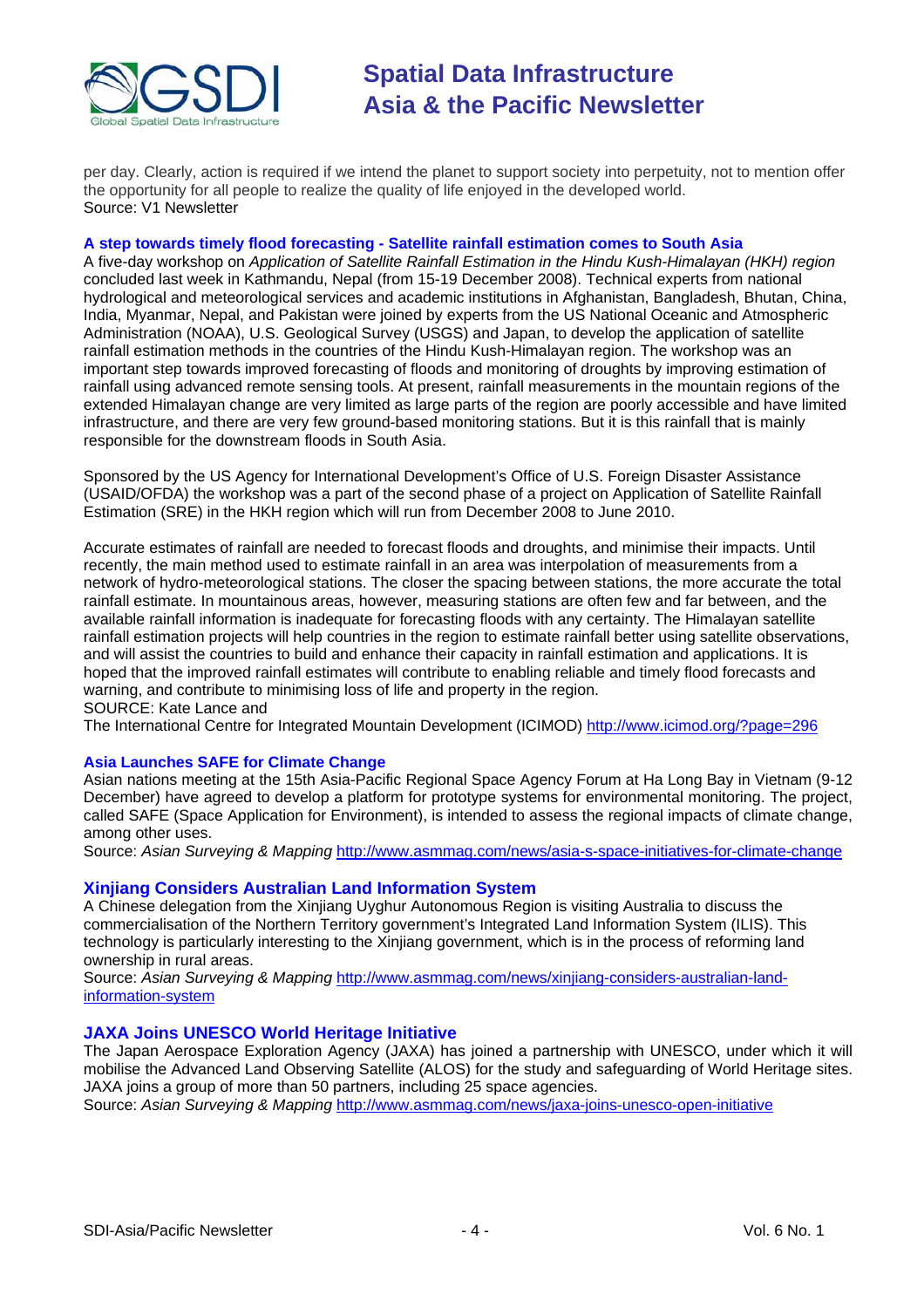

per day. Clearly, action is required if we intend the planet to support society into perpetuity, not to mention offer the opportunity for all people to realize the quality of life enjoyed in the developed world. Source: V1 Newsletter

#### **A step towards timely flood forecasting - Satellite rainfall estimation comes to South Asia**

A five-day workshop on *Application of Satellite Rainfall Estimation in the Hindu Kush-Himalayan (HKH) region* concluded last week in Kathmandu, Nepal (from 15-19 December 2008). Technical experts from national hydrological and meteorological services and academic institutions in Afghanistan, Bangladesh, Bhutan, China, India, Myanmar, Nepal, and Pakistan were joined by experts from the US National Oceanic and Atmospheric Administration (NOAA), U.S. Geological Survey (USGS) and Japan, to develop the application of satellite rainfall estimation methods in the countries of the Hindu Kush-Himalayan region. The workshop was an important step towards improved forecasting of floods and monitoring of droughts by improving estimation of rainfall using advanced remote sensing tools. At present, rainfall measurements in the mountain regions of the extended Himalayan change are very limited as large parts of the region are poorly accessible and have limited infrastructure, and there are very few ground-based monitoring stations. But it is this rainfall that is mainly responsible for the downstream floods in South Asia.

Sponsored by the US Agency for International Development's Office of U.S. Foreign Disaster Assistance (USAID/OFDA) the workshop was a part of the second phase of a project on Application of Satellite Rainfall Estimation (SRE) in the HKH region which will run from December 2008 to June 2010.

Accurate estimates of rainfall are needed to forecast floods and droughts, and minimise their impacts. Until recently, the main method used to estimate rainfall in an area was interpolation of measurements from a network of hydro-meteorological stations. The closer the spacing between stations, the more accurate the total rainfall estimate. In mountainous areas, however, measuring stations are often few and far between, and the available rainfall information is inadequate for forecasting floods with any certainty. The Himalayan satellite rainfall estimation projects will help countries in the region to estimate rainfall better using satellite observations, and will assist the countries to build and enhance their capacity in rainfall estimation and applications. It is hoped that the improved rainfall estimates will contribute to enabling reliable and timely flood forecasts and warning, and contribute to minimising loss of life and property in the region. SOURCE: Kate Lance and

The International Centre for Integrated Mountain Development (ICIMOD) <http://www.icimod.org/?page=296>

#### **Asia Launches SAFE for Climate Change**

Asian nations meeting at the 15th Asia-Pacific Regional Space Agency Forum at Ha Long Bay in Vietnam (9-12 December) have agreed to develop a platform for prototype systems for environmental monitoring. The project, called SAFE (Space Application for Environment), is intended to assess the regional impacts of climate change, among other uses.

Source: *Asian Surveying & Mapping* <http://www.asmmag.com/news/asia-s-space-initiatives-for-climate-change>

#### **Xinjiang Considers Australian Land Information System**

A Chinese delegation from the Xinjiang Uyghur Autonomous Region is visiting Australia to discuss the commercialisation of the Northern Territory government's Integrated Land Information System (ILIS). This technology is particularly interesting to the Xinjiang government, which is in the process of reforming land ownership in rural areas.

Source: *Asian Surveying & Mapping* [http://www.asmmag.com/news/xinjiang-considers-australian-land](http://www.asmmag.com/news/xinjiang-considers-australian-land-information-system)information-system

#### **JAXA Joins UNESCO World Heritage Initiative**

The Japan Aerospace Exploration Agency (JAXA) has joined a partnership with UNESCO, under which it will mobilise the Advanced Land Observing Satellite (ALOS) for the study and safeguarding of World Heritage sites. JAXA joins a group of more than 50 partners, including 25 space agencies.

Source: *Asian Surveying & Mapping* <http://www.asmmag.com/news/jaxa-joins-unesco-open-initiative>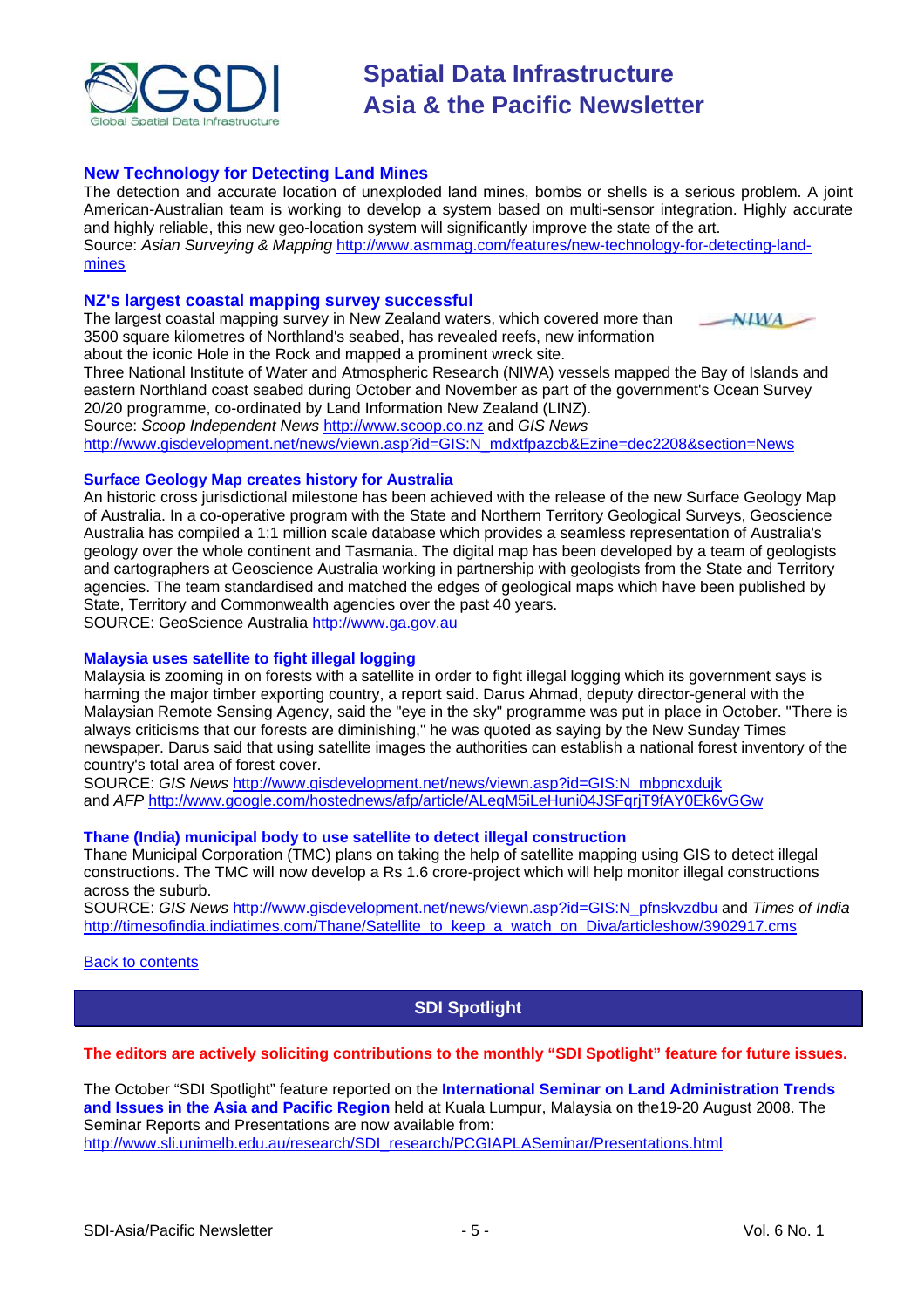<span id="page-4-0"></span>

#### **New Technology for Detecting Land Mines**

The detection and accurate location of unexploded land mines, bombs or shells is a serious problem. A joint American-Australian team is working to develop a system based on multi-sensor integration. Highly accurate and highly reliable, this new geo-location system will significantly improve the state of the art. Source: Asian Surveying & Mapping [http://www.asmmag.com/features/new-technology-for-detecting-land](http://www.asmmag.com/features/new-technology-for-detecting-land-mines)mines

#### **NZ's largest coastal mapping survey successful**

The largest coastal mapping survey in New Zealand waters, which covered more than 3500 square kilometres of Northland's seabed, has revealed reefs, new information about the iconic Hole in the Rock and mapped a prominent wreck site.



Three National Institute of Water and Atmospheric Research (NIWA) vessels mapped the Bay of Islands and eastern Northland coast seabed during October and November as part of the government's Ocean Survey 20/20 programme, co-ordinated by Land Information New Zealand (LINZ). Source: *Scoop Independent News* [http://www.scoop.co.nz](http://www.scoop.co.nz/stories/SC0812/S00056.htm) and *GIS News*

[http://www.gisdevelopment.net/news/viewn.asp?id=GIS:N\\_mdxtfpazcb&Ezine=dec2208&section=News](http://www.gisdevelopment.net/news/viewn.asp?id=GIS:N_mdxtfpazcb&Ezine=dec2208§ion=News)

#### **Surface Geology Map creates history for Australia**

An historic cross jurisdictional milestone has been achieved with the release of the new Surface Geology Map of Australia. In a co-operative program with the State and Northern Territory Geological Surveys, Geoscience Australia has compiled a 1:1 million scale database which provides a seamless representation of Australia's geology over the whole continent and Tasmania. The digital map has been developed by a team of geologists and cartographers at Geoscience Australia working in partnership with geologists from the State and Territory agencies. The team standardised and matched the edges of geological maps which have been published by State, Territory and Commonwealth agencies over the past 40 years. SOURCE: GeoScience Australia [http://www.ga.gov.au](http://www.ga.gov.au/image_cache/GA13055.pdf)

#### **Malaysia uses satellite to fight illegal logging**

Malaysia is zooming in on forests with a satellite in order to fight illegal logging which its government says is harming the major timber exporting country, a report said. Darus Ahmad, deputy director-general with the Malaysian Remote Sensing Agency, said the "eye in the sky" programme was put in place in October. "There is always criticisms that our forests are diminishing," he was quoted as saying by the New Sunday Times newspaper. Darus said that using satellite images the authorities can establish a national forest inventory of the country's total area of forest cover.

SOURCE: *GIS News* [http://www.gisdevelopment.net/news/viewn.asp?id=GIS:N\\_mbpncxdujk](http://www.gisdevelopment.net/news/viewn.asp?id=GIS:N_mbpncxdujk)  and *AFP* http://www.google.com/hostednews/afp/article/ALegM5iLeHuni04JSFgriT9fAY0Ek6vGGw

#### **Thane (India) municipal body to use satellite to detect illegal construction**

Thane Municipal Corporation (TMC) plans on taking the help of satellite mapping using GIS to detect illegal constructions. The TMC will now develop a Rs 1.6 crore-project which will help monitor illegal constructions across the suburb.

SOURCE: *GIS News* [http://www.gisdevelopment.net/news/viewn.asp?id=GIS:N\\_pfnskvzdbu](http://www.gisdevelopment.net/news/viewn.asp?id=GIS:N_pfnskvzdbu) and *Times of India* [http://timesofindia.indiatimes.com/Thane/Satellite\\_to\\_keep\\_a\\_watch\\_on\\_Diva/articleshow/3902917.cms](http://timesofindia.indiatimes.com/Thane/Satellite_to_keep_a_watch_on_Diva/articleshow/3902917.cms)

#### [Back to contents](#page-0-0)

#### **SDI Spotlight**

#### **The editors are actively soliciting contributions to the monthly "SDI Spotlight" feature for future issues.**

The October "SDI Spotlight" feature reported on the **International Seminar on Land Administration Trends and Issues in the Asia and Pacific Region** held at Kuala Lumpur, Malaysia on the19-20 August 2008. The Seminar Reports and Presentations are now available from:

[http://www.sli.unimelb.edu.au/research/SDI\\_research/PCGIAPLASeminar/Presentations.html](http://www.sli.unimelb.edu.au/research/SDI_research/PCGIAPLASeminar/Presentations.html)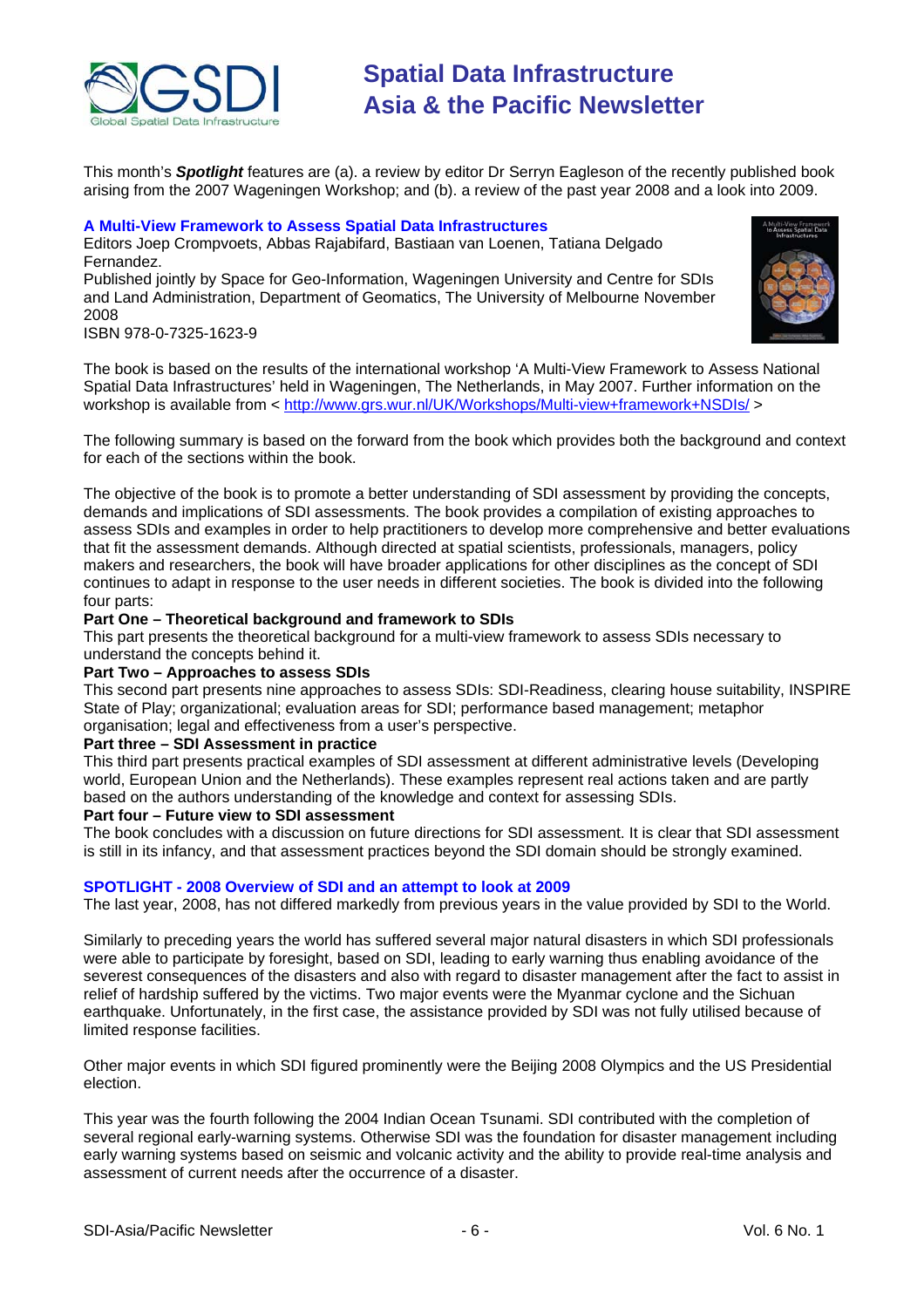

This month's *Spotlight* features are (a). a review by editor Dr Serryn Eagleson of the recently published book arising from the 2007 Wageningen Workshop; and (b). a review of the past year 2008 and a look into 2009.

#### **A Multi-View Framework to Assess Spatial Data Infrastructures**

Editors Joep Crompvoets, Abbas Rajabifard, Bastiaan van Loenen, Tatiana Delgado Fernandez.

Published jointly by Space for Geo-Information, Wageningen University and Centre for SDIs and Land Administration, Department of Geomatics, The University of Melbourne November 2008



ISBN 978-0-7325-1623-9

The book is based on the results of the international workshop 'A Multi-View Framework to Assess National Spatial Data Infrastructures' held in Wageningen, The Netherlands, in May 2007. Further information on the workshop is available from <<http://www.grs.wur.nl/UK/Workshops/Multi-view+framework+NSDIs/>>

The following summary is based on the forward from the book which provides both the background and context for each of the sections within the book.

The objective of the book is to promote a better understanding of SDI assessment by providing the concepts, demands and implications of SDI assessments. The book provides a compilation of existing approaches to assess SDIs and examples in order to help practitioners to develop more comprehensive and better evaluations that fit the assessment demands. Although directed at spatial scientists, professionals, managers, policy makers and researchers, the book will have broader applications for other disciplines as the concept of SDI continues to adapt in response to the user needs in different societies. The book is divided into the following four parts:

#### **Part One – Theoretical background and framework to SDIs**

This part presents the theoretical background for a multi-view framework to assess SDIs necessary to understand the concepts behind it.

#### **Part Two – Approaches to assess SDIs**

This second part presents nine approaches to assess SDIs: SDI-Readiness, clearing house suitability, INSPIRE State of Play; organizational; evaluation areas for SDI; performance based management; metaphor organisation; legal and effectiveness from a user's perspective.

#### **Part three – SDI Assessment in practice**

This third part presents practical examples of SDI assessment at different administrative levels (Developing world, European Union and the Netherlands). These examples represent real actions taken and are partly based on the authors understanding of the knowledge and context for assessing SDIs.

#### **Part four – Future view to SDI assessment**

The book concludes with a discussion on future directions for SDI assessment. It is clear that SDI assessment is still in its infancy, and that assessment practices beyond the SDI domain should be strongly examined.

#### **SPOTLIGHT - 2008 Overview of SDI and an attempt to look at 2009**

The last year, 2008, has not differed markedly from previous years in the value provided by SDI to the World.

Similarly to preceding years the world has suffered several major natural disasters in which SDI professionals were able to participate by foresight, based on SDI, leading to early warning thus enabling avoidance of the severest consequences of the disasters and also with regard to disaster management after the fact to assist in relief of hardship suffered by the victims. Two major events were the Myanmar cyclone and the Sichuan earthquake. Unfortunately, in the first case, the assistance provided by SDI was not fully utilised because of limited response facilities.

Other major events in which SDI figured prominently were the Beijing 2008 Olympics and the US Presidential election.

This year was the fourth following the 2004 Indian Ocean Tsunami. SDI contributed with the completion of several regional early-warning systems. Otherwise SDI was the foundation for disaster management including early warning systems based on seismic and volcanic activity and the ability to provide real-time analysis and assessment of current needs after the occurrence of a disaster.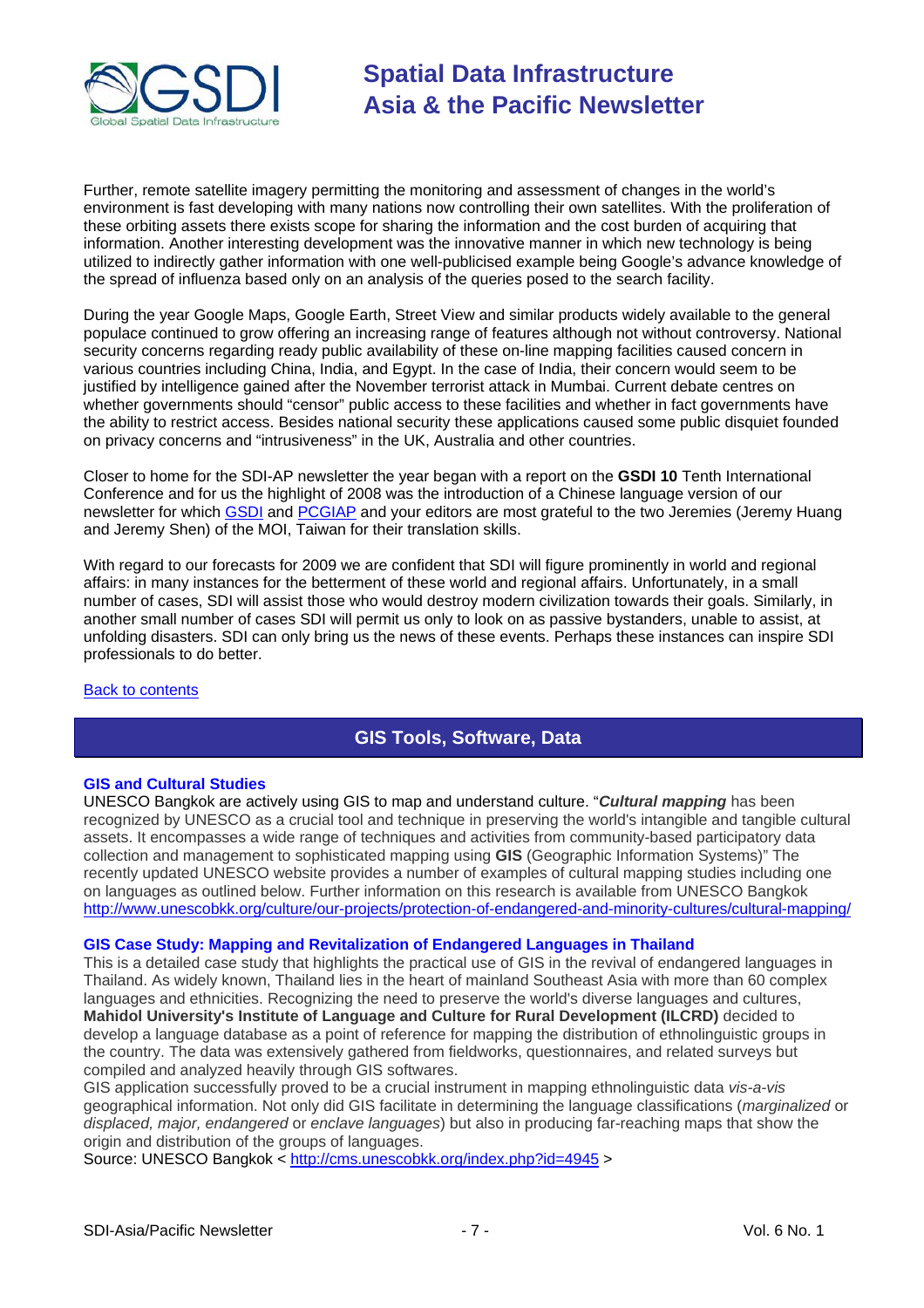<span id="page-6-0"></span>

Further, remote satellite imagery permitting the monitoring and assessment of changes in the world's environment is fast developing with many nations now controlling their own satellites. With the proliferation of these orbiting assets there exists scope for sharing the information and the cost burden of acquiring that information. Another interesting development was the innovative manner in which new technology is being utilized to indirectly gather information with one well-publicised example being Google's advance knowledge of the spread of influenza based only on an analysis of the queries posed to the search facility.

During the year Google Maps, Google Earth, Street View and similar products widely available to the general populace continued to grow offering an increasing range of features although not without controversy. National security concerns regarding ready public availability of these on-line mapping facilities caused concern in various countries including China, India, and Egypt. In the case of India, their concern would seem to be justified by intelligence gained after the November terrorist attack in Mumbai. Current debate centres on whether governments should "censor" public access to these facilities and whether in fact governments have the ability to restrict access. Besides national security these applications caused some public disquiet founded on privacy concerns and "intrusiveness" in the UK, Australia and other countries.

Closer to home for the SDI-AP newsletter the year began with a report on the **GSDI 10** Tenth International Conference and for us the highlight of 2008 was the introduction of a Chinese language version of our newsletter for which [GSDI](http://www.gsdi.org/) and [PCGIAP](http://www.pcgiap.org/) and your editors are most grateful to the two Jeremies (Jeremy Huang and Jeremy Shen) of the MOI, Taiwan for their translation skills.

With regard to our forecasts for 2009 we are confident that SDI will figure prominently in world and regional affairs: in many instances for the betterment of these world and regional affairs. Unfortunately, in a small number of cases, SDI will assist those who would destroy modern civilization towards their goals. Similarly, in another small number of cases SDI will permit us only to look on as passive bystanders, unable to assist, at unfolding disasters. SDI can only bring us the news of these events. Perhaps these instances can inspire SDI professionals to do better.

#### [Back to contents](#page-0-0)

### **GIS Tools, Software, Data**

#### **GIS and Cultural Studies**

UNESCO Bangkok are actively using GIS to map and understand culture. "*Cultural mapping* has been recognized by UNESCO as a crucial tool and technique in preserving the world's intangible and tangible cultural assets. It encompasses a wide range of techniques and activities from community-based participatory data collection and management to sophisticated mapping using **GIS** (Geographic Information Systems)" The recently updated UNESCO website provides a number of examples of cultural mapping studies including one on languages as outlined below. Further information on this research is available from UNESCO Bangkok [http://www.unescobkk.org/culture/our-projects/protection-of-endangered-and-minority-cultures/cultural-mapping/](http://cms.unescobkk.org/index.php?id=4945)

#### **GIS Case Study: Mapping and Revitalization of Endangered Languages in Thailand**

This is a detailed case study that highlights the practical use of GIS in the revival of endangered languages in Thailand. As widely known, Thailand lies in the heart of mainland Southeast Asia with more than 60 complex languages and ethnicities. Recognizing the need to preserve the world's diverse languages and cultures, **Mahidol University's Institute of Language and Culture for Rural Development (ILCRD)** decided to develop a language database as a point of reference for mapping the distribution of ethnolinguistic groups in the country. The data was extensively gathered from fieldworks, questionnaires, and related surveys but compiled and analyzed heavily through GIS softwares.

GIS application successfully proved to be a crucial instrument in mapping ethnolinguistic data *vis-a-vis* geographical information. Not only did GIS facilitate in determining the language classifications (*marginalized* or *displaced, major, endangered* or *enclave languages*) but also in producing far-reaching maps that show the origin and distribution of the groups of languages.

Source: UNESCO Bangkok <<http://cms.unescobkk.org/index.php?id=4945>>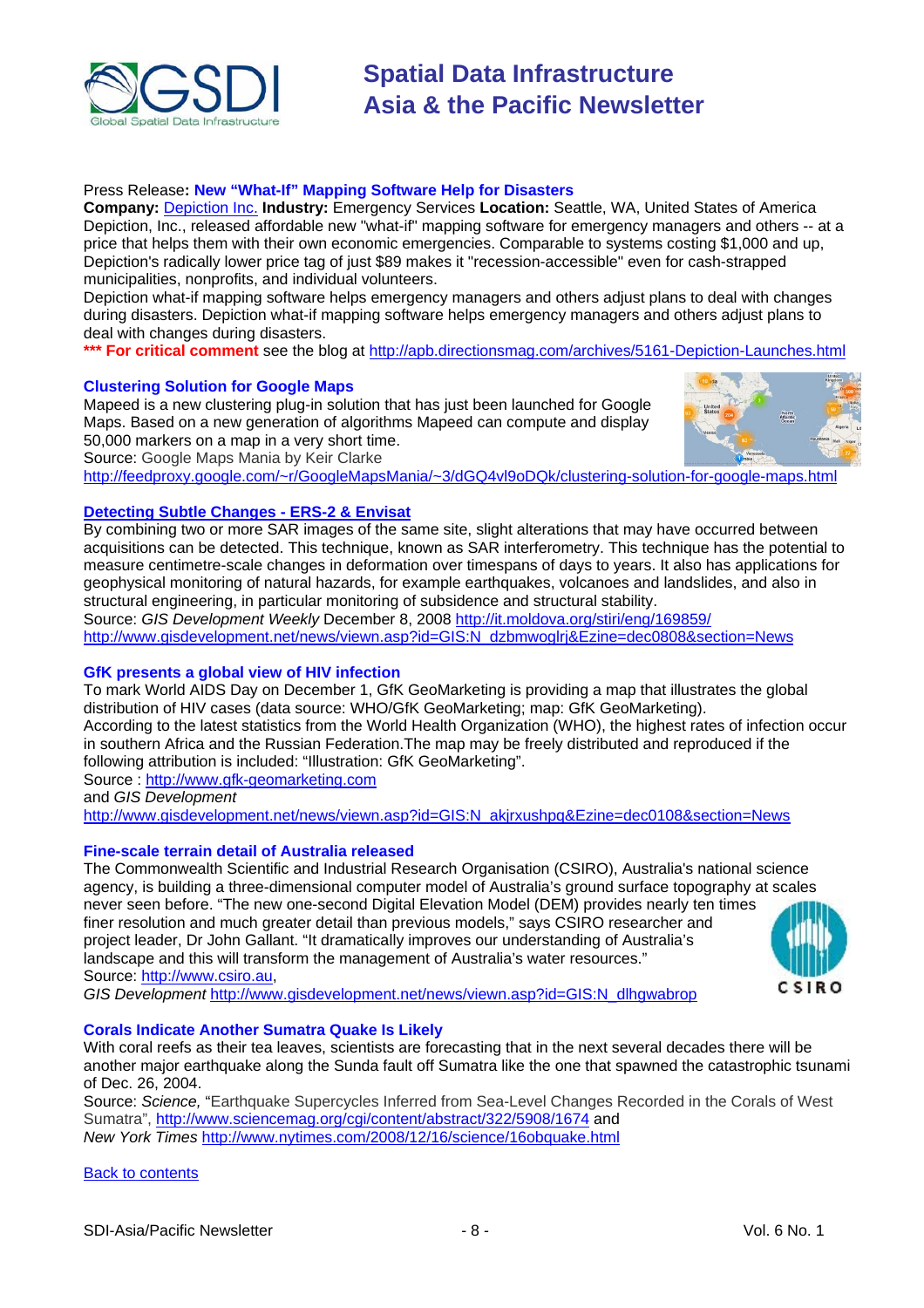

#### Press Release**: New "What-If" Mapping Software Help for Disasters**

**Company:** [Depiction Inc.](http://www.depiction.com/) **Industry:** Emergency Services **Location:** Seattle, WA, United States of America Depiction, Inc., released affordable new "what-if" mapping software for emergency managers and others -- at a price that helps them with their own economic emergencies. Comparable to systems costing \$1,000 and up, Depiction's radically lower price tag of just \$89 makes it "recession-accessible" even for cash-strapped municipalities, nonprofits, and individual volunteers.

Depiction what-if mapping software helps emergency managers and others adjust plans to deal with changes during disasters. Depiction what-if mapping software helps emergency managers and others adjust plans to deal with changes during disasters.

**\*\*\* For critical comment** see the blog at <http://apb.directionsmag.com/archives/5161-Depiction-Launches.html>

#### **Clustering Solution for Google Maps**

Mapeed is a new clustering plug-in solution that has just been launched for Google Maps. Based on a new generation of algorithms Mapeed can compute and display 50,000 markers on a map in a very short time. Source: Google Maps Mania by Keir Clarke <http://feedproxy.google.com/~r/GoogleMapsMania/~3/dGQ4vl9oDQk/clustering-solution-for-google-maps.html>



#### **[Detecting Subtle Changes - ERS-2 & Envisat](http://www.gisdevelopment.net/news/viewn.asp?id=GIS:N_dzbmwoglrj%26Ezine=dec0808%26section=News)**

By combining two or more SAR images of the same site, slight alterations that may have occurred between acquisitions can be detected. This technique, known as SAR interferometry. This technique has the potential to measure centimetre-scale changes in deformation over timespans of days to years. It also has applications for geophysical monitoring of natural hazards, for example earthquakes, volcanoes and landslides, and also in structural engineering, in particular monitoring of subsidence and structural stability. Source: *GIS Development Weekly* December 8, 2008<http://it.moldova.org/stiri/eng/169859/>

http://www.gisdevelopment.net/news/viewn.asp?id=GIS:N\_dzbmwoglri&Ezine=dec0808&section=News

#### **GfK presents a global view of HIV infection**

To mark World AIDS Day on December 1, GfK GeoMarketing is providing a map that illustrates the global distribution of HIV cases (data source: WHO/GfK GeoMarketing; map: GfK GeoMarketing). According to the latest statistics from the World Health Organization (WHO), the highest rates of infection occur in southern Africa and the Russian Federation.The map may be freely distributed and reproduced if the following attribution is included: "Illustration: GfK GeoMarketing".

Source : [http://www.gfk-geomarketing.com](http://www.gfk-geomarketing.com/fileadmin/newsletter/map_of_the_month/12_2008.html)

and *GIS Development* 

[http://www.gisdevelopment.net/news/viewn.asp?id=GIS:N\\_akjrxushpq&Ezine=dec0108&section=News](http://www.gisdevelopment.net/news/viewn.asp?id=GIS:N_akjrxushpq&Ezine=dec0108§ion=News)

#### **Fine-scale terrain detail of Australia released**

The Commonwealth Scientific and Industrial Research Organisation (CSIRO), Australia's national science agency, is building a three-dimensional computer model of Australia's ground surface topography at scales never seen before. "The new one-second Digital Elevation Model (DEM) provides nearly ten times finer resolution and much greater detail than previous models," says CSIRO researcher and project leader, Dr John Gallant. "It dramatically improves our understanding of Australia's landscape and this will transform the management of Australia's water resources." Source: [http://www.csiro.au,](http://www.csiro.au/news/Digital-Elevation-Model-Released.html)

*GIS Development* [http://www.gisdevelopment.net/news/viewn.asp?id=GIS:N\\_dlhgwabrop](http://www.gisdevelopment.net/news/viewn.asp?id=GIS:N_dlhgwabrop)



#### **Corals Indicate Another Sumatra Quake Is Likely**

With coral reefs as their tea leaves, scientists are forecasting that in the next several decades there will be another major earthquake along the Sunda fault off Sumatra like the one that spawned the catastrophic tsunami of Dec. 26, 2004.

Source: *Science,* "Earthquake Supercycles Inferred from Sea-Level Changes Recorded in the Corals of West Sumatra", <http://www.sciencemag.org/cgi/content/abstract/322/5908/1674>and *New York Times* <http://www.nytimes.com/2008/12/16/science/16obquake.html>

[Back to contents](#page-0-0)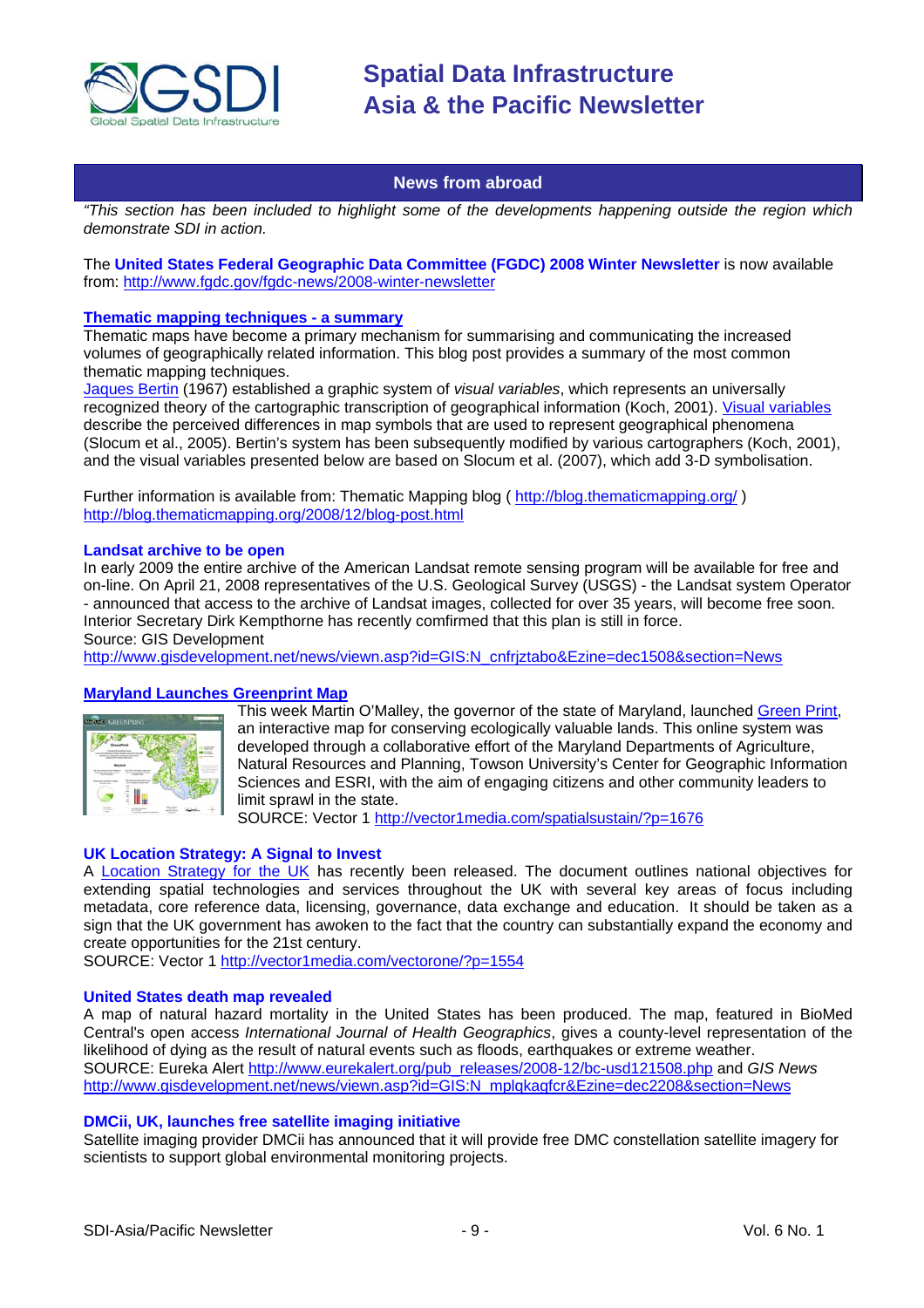<span id="page-8-0"></span>

#### **News from abroad**

*"This section has been included to highlight some of the developments happening outside the region which demonstrate SDI in action.* 

The **United States Federal Geographic Data Committee (FGDC) 2008 Winter Newsletter** is now available from:<http://www.fgdc.gov/fgdc-news/2008-winter-newsletter>

#### **[Thematic mapping techniques - a summary](http://feeds.feedburner.com/~r/thematicmapping/~3/477544057/blog-post.html)**

Thematic maps have become a primary mechanism for summarising and communicating the increased volumes of geographically related information. This blog post provides a summary of the most common thematic mapping techniques.

[Jaques Bertin](http://en.wikipedia.org/wiki/Jacques_Bertin) (1967) established a graphic system of *visual variables*, which represents an universally recognized theory of the cartographic transcription of geographical information (Koch, 2001). [Visual variables](http://www.infovis-wiki.net/index.php?title=Visual_Variables) describe the perceived differences in map symbols that are used to represent geographical phenomena (Slocum et al., 2005). Bertin's system has been subsequently modified by various cartographers (Koch, 2001), and the visual variables presented below are based on Slocum et al. (2007), which add 3-D symbolisation.

Further information is available from: Thematic Mapping blog ( <http://blog.thematicmapping.org/>) <http://blog.thematicmapping.org/2008/12/blog-post.html>

#### **Landsat archive to be open**

In early 2009 the entire archive of the American Landsat remote sensing program will be available for free and on-line. On April 21, 2008 representatives of the U.S. Geological Survey (USGS) - the Landsat system Operator - announced that access to the archive of Landsat images, collected for over 35 years, will become free soon. Interior Secretary Dirk Kempthorne has recently comfirmed that this plan is still in force.

Source: GIS Development

http://www.gisdevelopment.net/news/viewn.asp?id=GIS:N\_cnfriztabo&Ezine=dec1508&section=News

#### **[Maryland Launches Greenprint Map](http://vector1media.com/spatialsustain/?p=1676)**



This week Martin O'Malley, the governor of the state of Maryland, launched Green Print, an interactive map for conserving ecologically valuable lands. This online system was developed through a collaborative effort of the Maryland Departments of Agriculture, Natural Resources and Planning, Towson University's Center for Geographic Information Sciences and ESRI, with the aim of engaging citizens and other community leaders to limit sprawl in the state.

SOURCE: Vector 1<http://vector1media.com/spatialsustain/?p=1676>

#### **UK Location Strategy: A Signal to Invest**

A [Location Strategy for the UK](http://www.communities.gov.uk/publications/communities/locationstrategy) has recently been released. The document outlines national objectives for extending spatial technologies and services throughout the UK with several key areas of focus including metadata, core reference data, licensing, governance, data exchange and education. It should be taken as a sign that the UK government has awoken to the fact that the country can substantially expand the economy and create opportunities for the 21st century.

SOURCE: Vector 1<http://vector1media.com/vectorone/?p=1554>

#### **United States death map revealed**

A map of natural hazard mortality in the United States has been produced. The map, featured in BioMed Central's open access *International Journal of Health Geographics*, gives a county-level representation of the likelihood of dying as the result of natural events such as floods, earthquakes or extreme weather. SOURCE: Eureka Alert [http://www.eurekalert.org/pub\\_releases/2008-12/bc-usd121508.php](http://www.eurekalert.org/pub_releases/2008-12/bc-usd121508.php) and *GIS News* [http://www.gisdevelopment.net/news/viewn.asp?id=GIS:N\\_mplqkagfcr&Ezine=dec2208&section=News](http://www.gisdevelopment.net/news/viewn.asp?id=GIS:N_mplqkagfcr&Ezine=dec2208§ion=News)

#### **DMCii, UK, launches free satellite imaging initiative**

Satellite imaging provider DMCii has announced that it will provide free DMC constellation satellite imagery for scientists to support global environmental monitoring projects.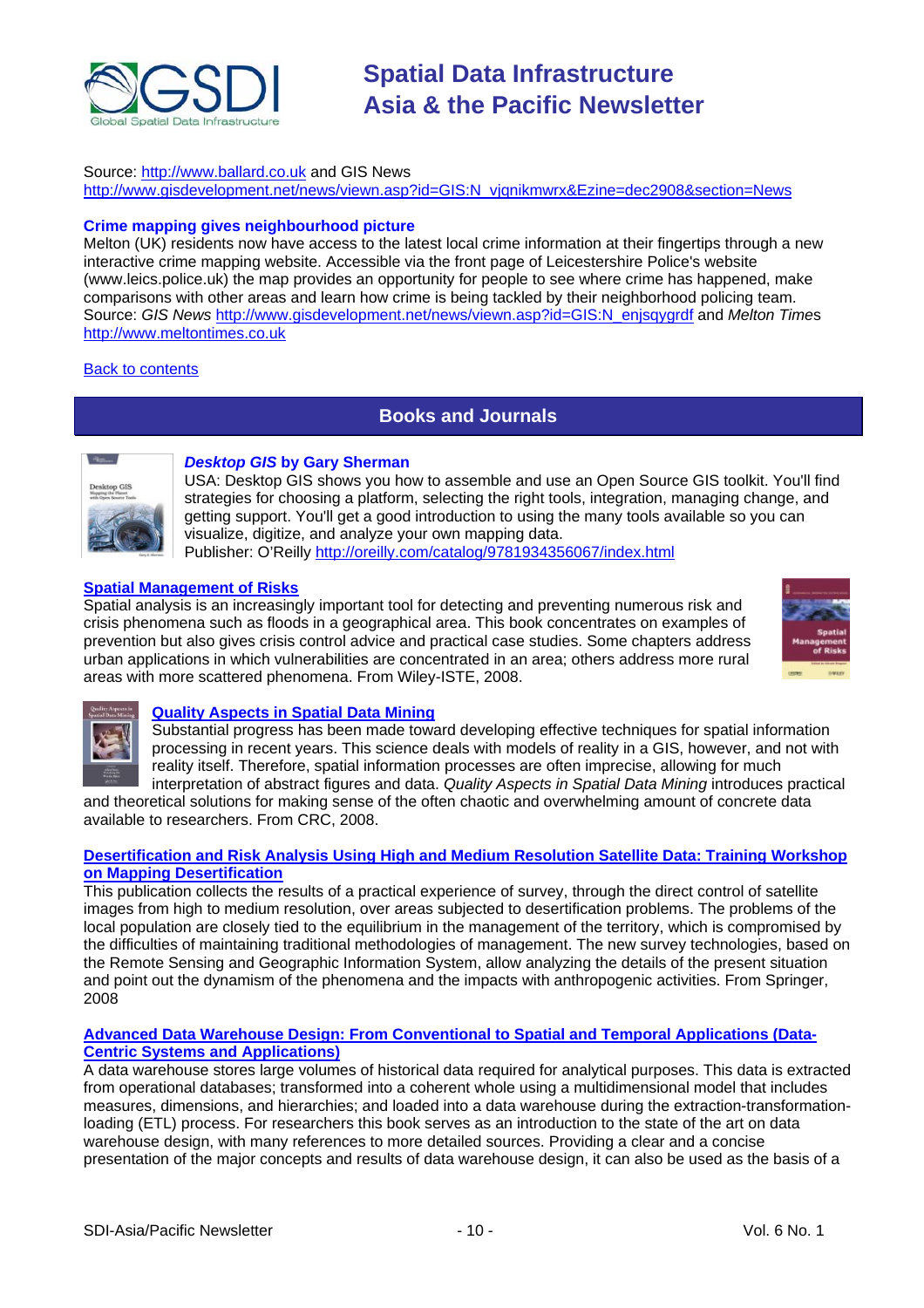<span id="page-9-0"></span>

#### Source: [http://www.ballard.co.uk](http://www.ballard.co.uk/press_releases/company_releases.aspx?lang=English(uk)&story=1323) and GIS News

http://www.gisdevelopment.net/news/viewn.asp?id=GIS:N\_vjgnikmwrx&Ezine=dec2908&section=News

#### **Crime mapping gives neighbourhood picture**

Melton (UK) residents now have access to the latest local crime information at their fingertips through a new interactive crime mapping website. Accessible via the front page of Leicestershire Police's website (www.leics.police.uk) the map provides an opportunity for people to see where crime has happened, make comparisons with other areas and learn how crime is being tackled by their neighborhood policing team. Source: *GIS News* [http://www.gisdevelopment.net/news/viewn.asp?id=GIS:N\\_enjsqygrdf](http://www.gisdevelopment.net/news/viewn.asp?id=GIS:N_enjsqygrdf) and *Melton Time*s <http://www.meltontimes.co.uk>

#### [Back to contents](#page-0-0)

### **Books and Journals**



#### *Desktop GIS* **by Gary Sherman**

USA: Desktop GIS shows you how to assemble and use an Open Source GIS toolkit. You'll find strategies for choosing a platform, selecting the right tools, integration, managing change, and getting support. You'll get a good introduction to using the many tools available so vou can visualize, digitize, and analyze your own mapping data. Publisher: O'Reilly<http://oreilly.com/catalog/9781934356067/index.html>

#### **[Spatial Management of Risks](http://newsletter.directionsmag.com/link.php?M=145624&N=1113&L=22542)**

Spatial analysis is an increasingly important tool for detecting and preventing numerous risk and crisis phenomena such as floods in a geographical area. This book concentrates on examples of prevention but also gives crisis control advice and practical case studies. Some chapters address urban applications in which vulnerabilities are concentrated in an area; others address more rural areas with more scattered phenomena. From Wiley-ISTE, 2008.





#### **[Quality Aspects in Spatial Data Mining](http://newsletter.directionsmag.com/link.php?M=145624&N=1138&L=22979)**

Substantial progress has been made toward developing effective techniques for spatial information processing in recent years. This science deals with models of reality in a GIS, however, and not with reality itself. Therefore, spatial information processes are often imprecise, allowing for much interpretation of abstract figures and data. *Quality Aspects in Spatial Data Mining* introduces practical

and theoretical solutions for making sense of the often chaotic and overwhelming amount of concrete data available to researchers. From CRC, 2008.

#### **[Desertification and Risk Analysis Using High and Medium Resolution Satellite Data: Training Workshop](http://newsletter.directionsmag.com/link.php?M=145624&N=1138&L=22980)  on Mapping Desertification**

This publication collects the results of a practical experience of survey, through the direct control of satellite images from high to medium resolution, over areas subjected to desertification problems. The problems of the local population are closely tied to the equilibrium in the management of the territory, which is compromised by the difficulties of maintaining traditional methodologies of management. The new survey technologies, based on the Remote Sensing and Geographic Information System, allow analyzing the details of the present situation and point out the dynamism of the phenomena and the impacts with anthropogenic activities. From Springer, 2008

#### **[Advanced Data Warehouse Design: From Conventional to Spatial and Temporal Applications \(Data-](http://newsletter.directionsmag.com/link.php?M=145624&N=1138&L=22978)Centric Systems and Applications)**

A data warehouse stores large volumes of historical data required for analytical purposes. This data is extracted from operational databases; transformed into a coherent whole using a multidimensional model that includes measures, dimensions, and hierarchies; and loaded into a data warehouse during the extraction-transformationloading (ETL) process. For researchers this book serves as an introduction to the state of the art on data warehouse design, with many references to more detailed sources. Providing a clear and a concise presentation of the major concepts and results of data warehouse design, it can also be used as the basis of a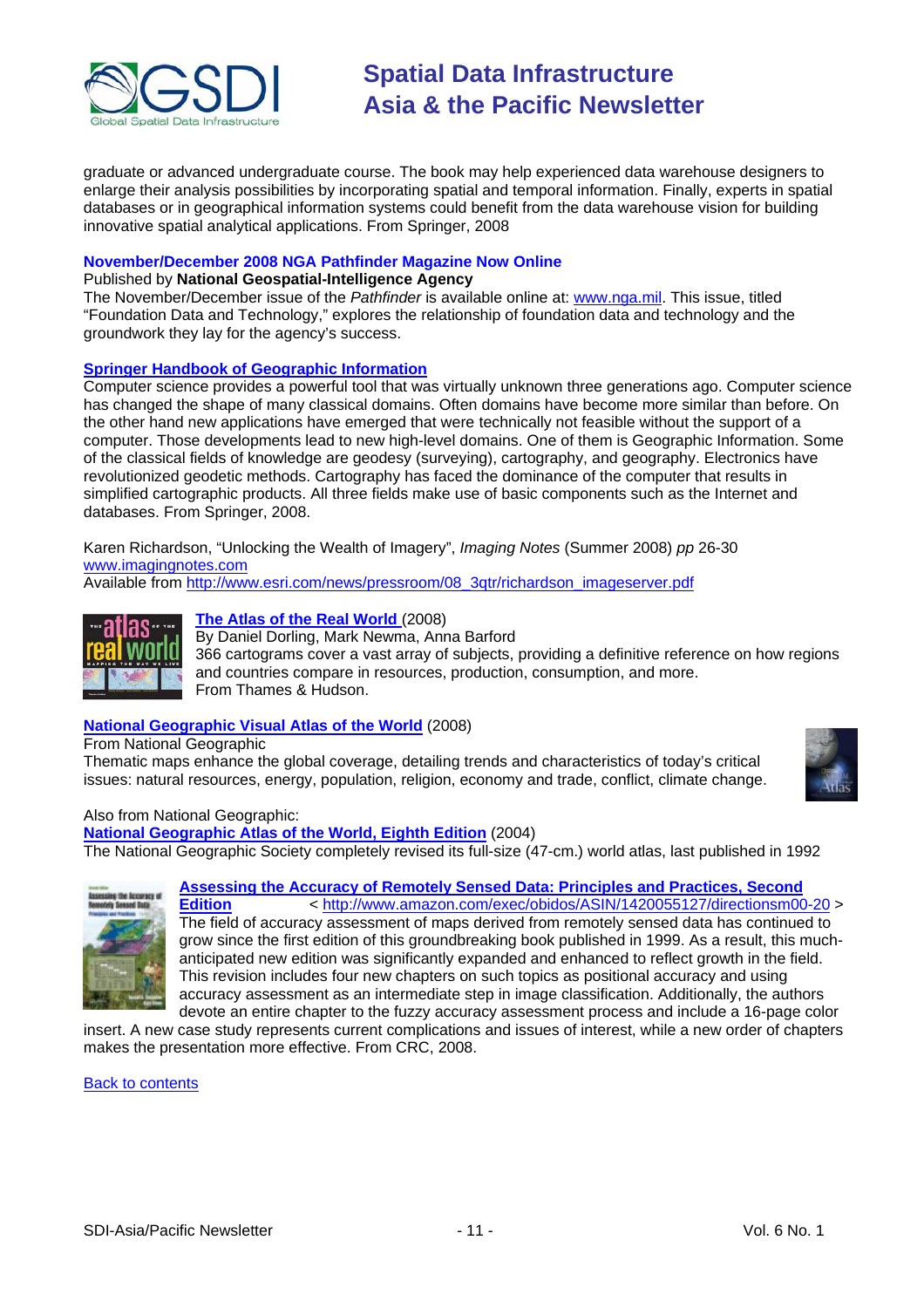

graduate or advanced undergraduate course. The book may help experienced data warehouse designers to enlarge their analysis possibilities by incorporating spatial and temporal information. Finally, experts in spatial databases or in geographical information systems could benefit from the data warehouse vision for building innovative spatial analytical applications. From Springer, 2008

#### **November/December 2008 NGA Pathfinder Magazine Now Online**

#### Published by **National Geospatial-Intelligence Agency**

The November/December issue of the *Pathfinder* is available online at: [www.nga.mil.](http://www.nga.mil/) This issue, titled "Foundation Data and Technology," explores the relationship of foundation data and technology and the groundwork they lay for the agency's success.

#### **[Springer Handbook of Geographic Information](http://newsletter.directionsmag.com/link.php?M=145624&N=1161&L=23108)**

Computer science provides a powerful tool that was virtually unknown three generations ago. Computer science has changed the shape of many classical domains. Often domains have become more similar than before. On the other hand new applications have emerged that were technically not feasible without the support of a computer. Those developments lead to new high-level domains. One of them is Geographic Information. Some of the classical fields of knowledge are geodesy (surveying), cartography, and geography. Electronics have revolutionized geodetic methods. Cartography has faced the dominance of the computer that results in simplified cartographic products. All three fields make use of basic components such as the Internet and databases. From Springer, 2008.

Karen Richardson, "Unlocking the Wealth of Imagery", *Imaging Notes* (Summer 2008) *pp* 26-30 [www.imagingnotes.com](http://www.imagingnotes.com/)

Available from [http://www.esri.com/news/pressroom/08\\_3qtr/richardson\\_imageserver.pdf](http://www.esri.com/news/pressroom/08_3qtr/richardson_imageserver.pdf)



#### **[The Atlas of the Real World](http://www.amazon.com/gp/product/0500514259?ie=UTF8&tag=vectmedi-20&linkCode=xm2&creativeASIN=0500514259)** (2008)

By Daniel Dorling, Mark Newma, Anna Barford 366 cartograms cover a vast array of subjects, providing a definitive reference on how regions and countries compare in resources, production, consumption, and more. From Thames & Hudson.

### **[National Geographic Visual Atlas of the World](http://www.amazon.com/gp/product/1426203322?ie=UTF8&tag=vectmedi-20&linkCode=xm2&creativeASIN=1426203322)** (2008)

From National Geographic

Thematic maps enhance the global coverage, detailing trends and characteristics of today's critical issues: natural resources, energy, population, religion, economy and trade, conflict, climate change.



Also from National Geographic:

**[National Geographic Atlas of the World, Eighth Edition](http://www.amazon.com/gp/product/0792275438?ie=UTF8&tag=vectmedi-20&linkCode=xm2&creativeASIN=0792275438)** (2004) The National Geographic Society completely revised its full-size (47-cm.) world atlas, last published in 1992



### **[Assessing the Accuracy of Remotely Sensed Data: Principles and Practices, Second](http://newsletter.directionsmag.com/link.php?M=145624&N=1186&L=23261)**

**[Edition](http://newsletter.directionsmag.com/link.php?M=145624&N=1186&L=23261)** < <http://www.amazon.com/exec/obidos/ASIN/1420055127/directionsm00-20>> The field of accuracy assessment of maps derived from remotely sensed data has continued to grow since the first edition of this groundbreaking book published in 1999. As a result, this muchanticipated new edition was significantly expanded and enhanced to reflect growth in the field. This revision includes four new chapters on such topics as positional accuracy and using accuracy assessment as an intermediate step in image classification. Additionally, the authors devote an entire chapter to the fuzzy accuracy assessment process and include a 16-page color

insert. A new case study represents current complications and issues of interest, while a new order of chapters makes the presentation more effective. From CRC, 2008.

[Back to contents](#page-0-0)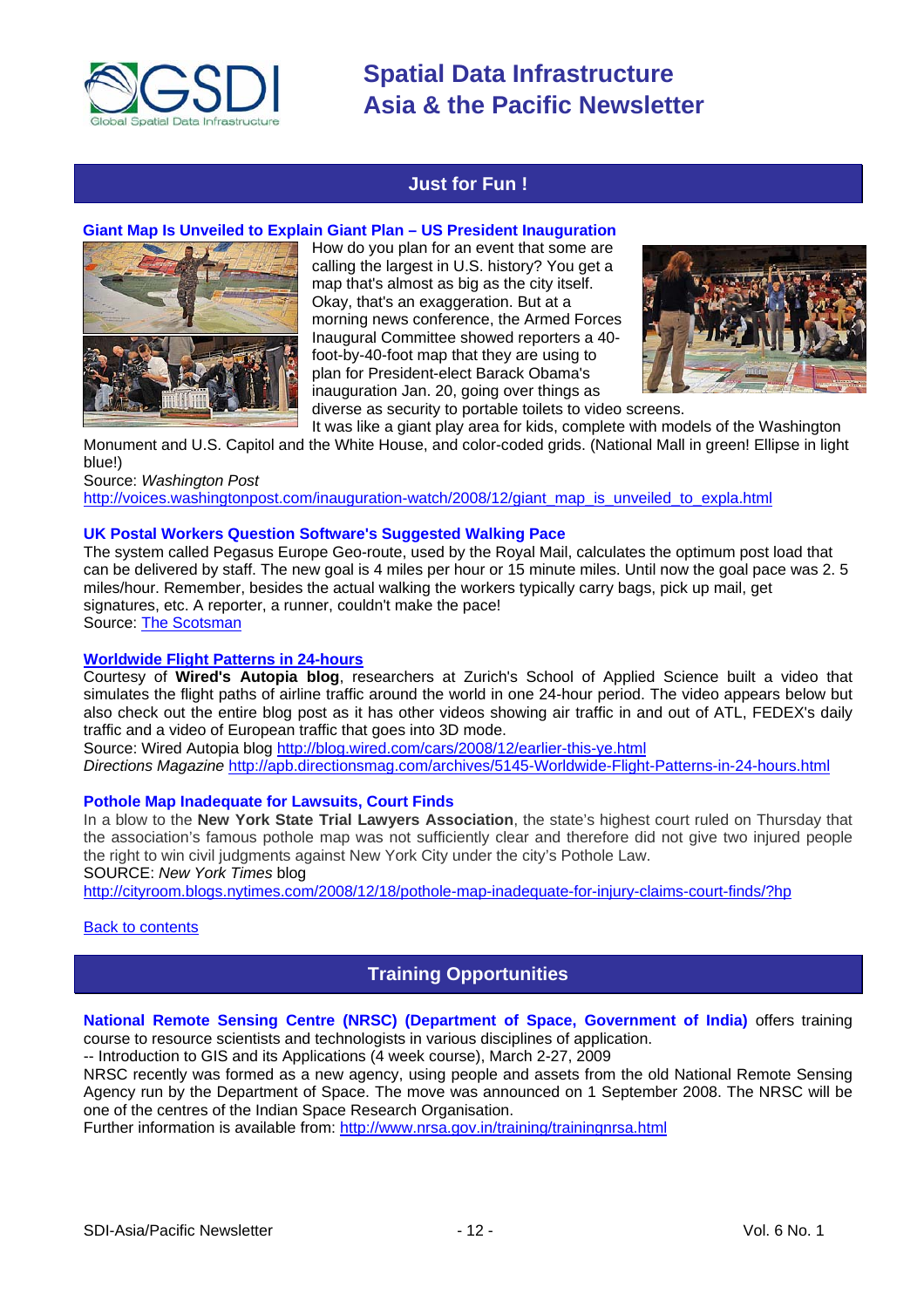<span id="page-11-0"></span>

### **Just for Fun !**

#### **Giant Map Is Unveiled to Explain Giant Plan – US President Inauguration**



How do you plan for an event that some are calling the largest in U.S. history? You get a map that's almost as big as the city itself. Okay, that's an exaggeration. But at a morning news conference, the Armed Forces Inaugural Committee showed reporters a 40 foot-by-40-foot map that they are using to plan for President-elect Barack Obama's inauguration Jan. 20, going over things as



diverse as security to portable toilets to video screens.

It was like a giant play area for kids, complete with models of the Washington Monument and U.S. Capitol and the White House, and color-coded grids. (National Mall in green! Ellipse in light

blue!) Source: *Washington Post*

[http://voices.washingtonpost.com/inauguration-watch/2008/12/giant\\_map\\_is\\_unveiled\\_to\\_expla.html](http://voices.washingtonpost.com/inauguration-watch/2008/12/giant_map_is_unveiled_to_expla.html)

#### **UK Postal Workers Question Software's Suggested Walking Pace**

The system called Pegasus Europe Geo-route, used by the Royal Mail, calculates the optimum post load that can be delivered by staff. The new goal is 4 miles per hour or 15 minute miles. Until now the goal pace was 2. 5 miles/hour. Remember, besides the actual walking the workers typically carry bags, pick up mail, get signatures, etc. A reporter, a runner, couldn't make the pace! Source: [The Scotsman](http://thescotsman.scotsman.com/uk/Computer--says-this-postman.4787340.jp) 

#### **[Worldwide Flight Patterns in 24-hours](http://apb.directionsmag.com/archives/5145-Worldwide-Flight-Patterns-in-24-hours.html)**

Courtesy of **Wired's Autopia blog**, researchers at Zurich's School of Applied Science built a video that simulates the flight paths of airline traffic around the world in one 24-hour period. The video appears below but also check out the entire blog post as it has other videos showing air traffic in and out of ATL, FEDEX's daily traffic and a video of European traffic that goes into 3D mode.

Source: Wired Autopia blog<http://blog.wired.com/cars/2008/12/earlier-this-ye.html> *Directions Magazine* <http://apb.directionsmag.com/archives/5145-Worldwide-Flight-Patterns-in-24-hours.html>

#### **Pothole Map Inadequate for Lawsuits, Court Finds**

In a blow to the **New York State Trial Lawyers Association**, the state's highest court ruled on Thursday that the association's famous pothole map was not sufficiently clear and therefore did not give two injured people the right to win civil judgments against New York City under the city's Pothole Law. SOURCE: *New York Times* blog

<http://cityroom.blogs.nytimes.com/2008/12/18/pothole-map-inadequate-for-injury-claims-court-finds/?hp>

#### [Back to contents](#page-0-0)

### **Training Opportunities**

#### **National Remote Sensing Centre (NRSC) (Department of Space, Government of India)** offers training course to resource scientists and technologists in various disciplines of application.

-- Introduction to GIS and its Applications (4 week course), March 2-27, 2009

NRSC recently was formed as a new agency, using people and assets from the old National Remote Sensing Agency run by the Department of Space. The move was announced on 1 September 2008. The NRSC will be one of the centres of the Indian Space Research Organisation.

Further information is available from:<http://www.nrsa.gov.in/training/trainingnrsa.html>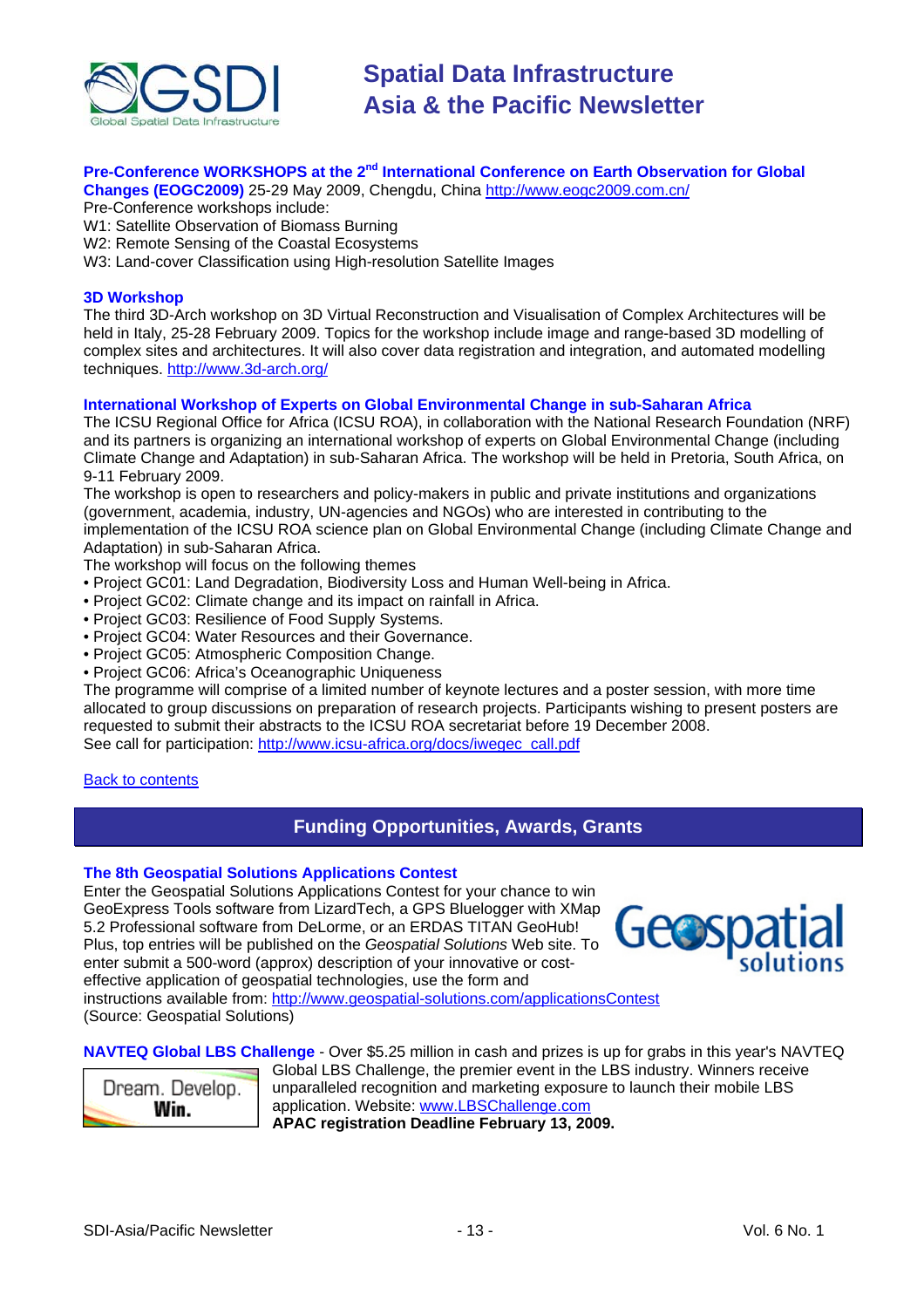<span id="page-12-0"></span>

#### **Pre-Conference WORKSHOPS at the 2<sup>nd</sup> International Conference on Earth Observation for Global Changes (EOGC2009)** 25-29 May 2009, Chengdu, China <http://www.eogc2009.com.cn/>

Pre-Conference workshops include:

- W1: Satellite Observation of Biomass Burning
- W2: Remote Sensing of the Coastal Ecosystems
- W3: Land-cover Classification using High-resolution Satellite Images

#### **3D Workshop**

The third 3D-Arch workshop on 3D Virtual Reconstruction and Visualisation of Complex Architectures will be held in Italy, 25-28 February 2009. Topics for the workshop include image and range-based 3D modelling of complex sites and architectures. It will also cover data registration and integration, and automated modelling techniques. <http://www.3d-arch.org/>

#### **International Workshop of Experts on Global Environmental Change in sub-Saharan Africa**

The ICSU Regional Office for Africa (ICSU ROA), in collaboration with the National Research Foundation (NRF) and its partners is organizing an international workshop of experts on Global Environmental Change (including Climate Change and Adaptation) in sub-Saharan Africa. The workshop will be held in Pretoria, South Africa, on 9-11 February 2009.

The workshop is open to researchers and policy-makers in public and private institutions and organizations (government, academia, industry, UN-agencies and NGOs) who are interested in contributing to the implementation of the ICSU ROA science plan on Global Environmental Change (including Climate Change and Adaptation) in sub-Saharan Africa.

The workshop will focus on the following themes

- Project GC01: Land Degradation, Biodiversity Loss and Human Well-being in Africa.
- Project GC02: Climate change and its impact on rainfall in Africa.
- Project GC03: Resilience of Food Supply Systems.
- Project GC04: Water Resources and their Governance.
- Project GC05: Atmospheric Composition Change.
- Project GC06: Africa's Oceanographic Uniqueness

The programme will comprise of a limited number of keynote lectures and a poster session, with more time allocated to group discussions on preparation of research projects. Participants wishing to present posters are requested to submit their abstracts to the ICSU ROA secretariat before 19 December 2008. See call for participation: [http://www.icsu-africa.org/docs/iwegec\\_call.pdf](http://www.icsu-africa.org/docs/iwegec_call.pdf)

#### [Back to contents](#page-0-0)

### **Funding Opportunities, Awards, Grants**

#### **The 8th Geospatial Solutions Applications Contest**

Enter the Geospatial Solutions Applications Contest for your chance to win GeoExpress Tools software from LizardTech, a GPS Bluelogger with XMap 5.2 Professional software from DeLorme, or an ERDAS TITAN GeoHub! Plus, top entries will be published on the *Geospatial Solutions* Web site. To enter submit a 500-word (approx) description of your innovative or costeffective application of geospatial technologies, use the form and



instructions available from:<http://www.geospatial-solutions.com/applicationsContest> (Source: Geospatial Solutions)

**NAVTEQ Global LBS Challenge** - Over \$5.25 million in cash and prizes is up for grabs in this year's NAVTEQ



Global LBS Challenge, the premier event in the LBS industry. Winners receive unparalleled recognition and marketing exposure to launch their mobile LBS application. Website: [www.LBSChallenge.com](http://newsletter.directionsmag.com/link.php?M=145624&N=989&L=22183) **APAC registration Deadline February 13, 2009.**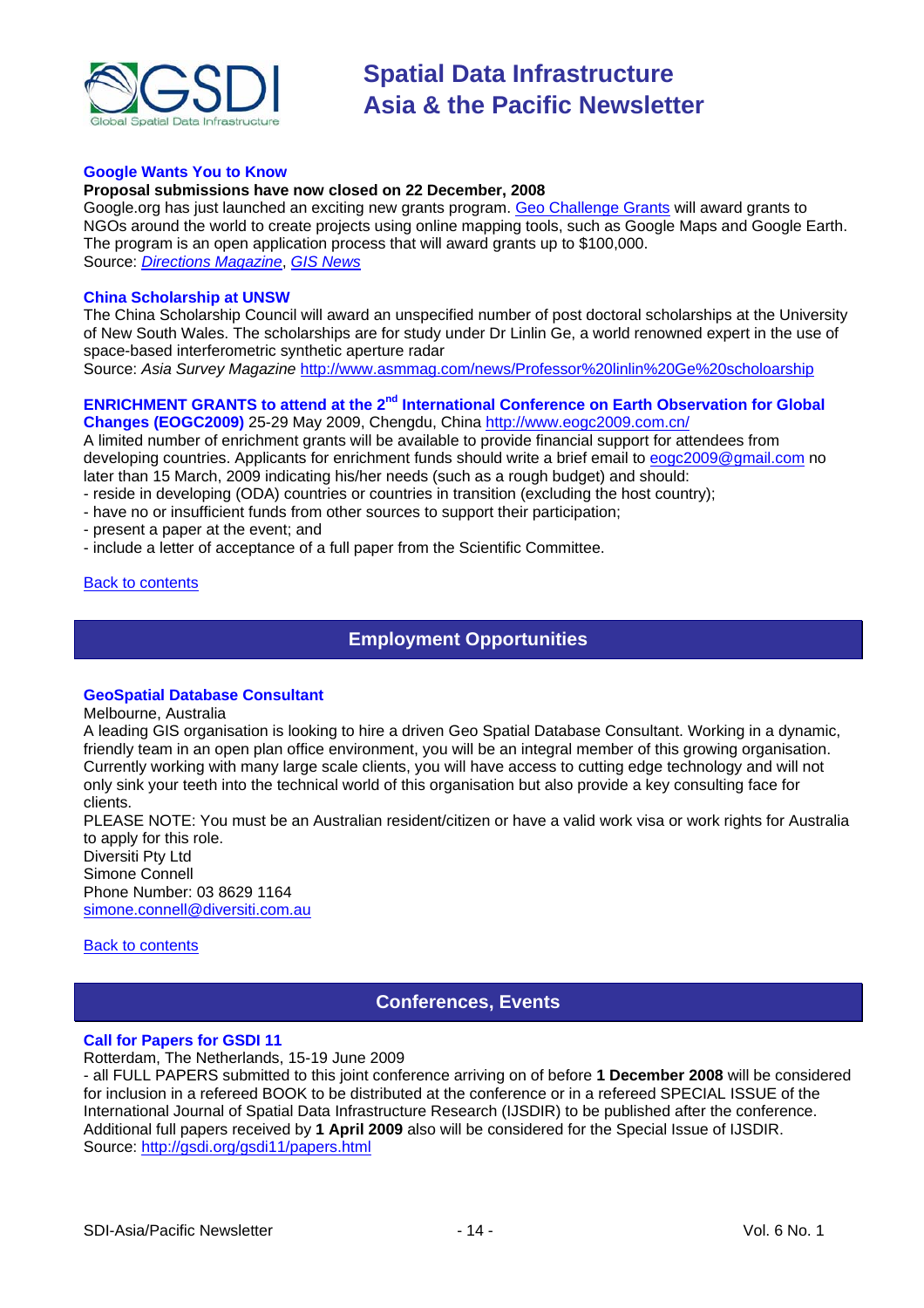<span id="page-13-0"></span>

#### **Google Wants You to Know**

#### **Proposal submissions have now closed on 22 December, 2008**

Google.org has just launched an exciting new grants program. [Geo Challenge Grants](http://www.google.org/geochallenge.html) will award grants to NGOs around the world to create projects using online mapping tools, such as Google Maps and Google Earth. The program is an open application process that will award grants up to \$100,000. Source: *[Directions Magazine](http://apb.directionsmag.com/archives/5019-Google-Wants-You-to-Know.html)*, *[GIS News](http://www.gisdevelopment.net/news/viewn.asp?id=GIS:N_ucoibvzlfg&Ezine=nov1008§ion=News)*

#### **China Scholarship at UNSW**

The China Scholarship Council will award an unspecified number of post doctoral scholarships at the University of New South Wales. The scholarships are for study under Dr Linlin Ge, a world renowned expert in the use of space-based interferometric synthetic aperture radar

Source: *Asia Survey Magazine* <http://www.asmmag.com/news/Professor%20linlin%20Ge%20scholoarship>

#### **ENRICHMENT GRANTS to attend at the 2<sup>nd</sup> International Conference on Earth Observation for Global Changes (EOGC2009)** 25-29 May 2009, Chengdu, China <http://www.eogc2009.com.cn/>

A limited number of enrichment grants will be available to provide financial support for attendees from developing countries. Applicants for enrichment funds should write a brief email to [eogc2009@gmail.com n](mailto:eogc2009@gmail.com)o later than 15 March, 2009 indicating his/her needs (such as a rough budget) and should:

- reside in developing (ODA) countries or countries in transition (excluding the host country);
- have no or insufficient funds from other sources to support their participation;
- present a paper at the event; and
- include a letter of acceptance of a full paper from the Scientific Committee.

#### [Back to contents](#page-0-0)

### **Employment Opportunities**

#### **GeoSpatial Database Consultant**

Melbourne, Australia

A leading GIS organisation is looking to hire a driven Geo Spatial Database Consultant. Working in a dynamic, friendly team in an open plan office environment, you will be an integral member of this growing organisation. Currently working with many large scale clients, you will have access to cutting edge technology and will not only sink your teeth into the technical world of this organisation but also provide a key consulting face for clients.

PLEASE NOTE: You must be an Australian resident/citizen or have a valid work visa or work rights for Australia to apply for this role.

Diversiti Pty Ltd Simone Connell Phone Number: 03 8629 1164 [simone.connell@diversiti.com.au](mailto:simone.connell@diversiti.com.au)

#### [Back to contents](#page-0-0)

### **Conferences, Events**

#### **Call for Papers for GSDI 11**

Rotterdam, The Netherlands, 15-19 June 2009

- all FULL PAPERS submitted to this joint conference arriving on of before **1 December 2008** will be considered for inclusion in a refereed BOOK to be distributed at the conference or in a refereed SPECIAL ISSUE of the International Journal of Spatial Data Infrastructure Research (IJSDIR) to be published after the conference. Additional full papers received by **1 April 2009** also will be considered for the Special Issue of IJSDIR. Source:<http://gsdi.org/gsdi11/papers.html>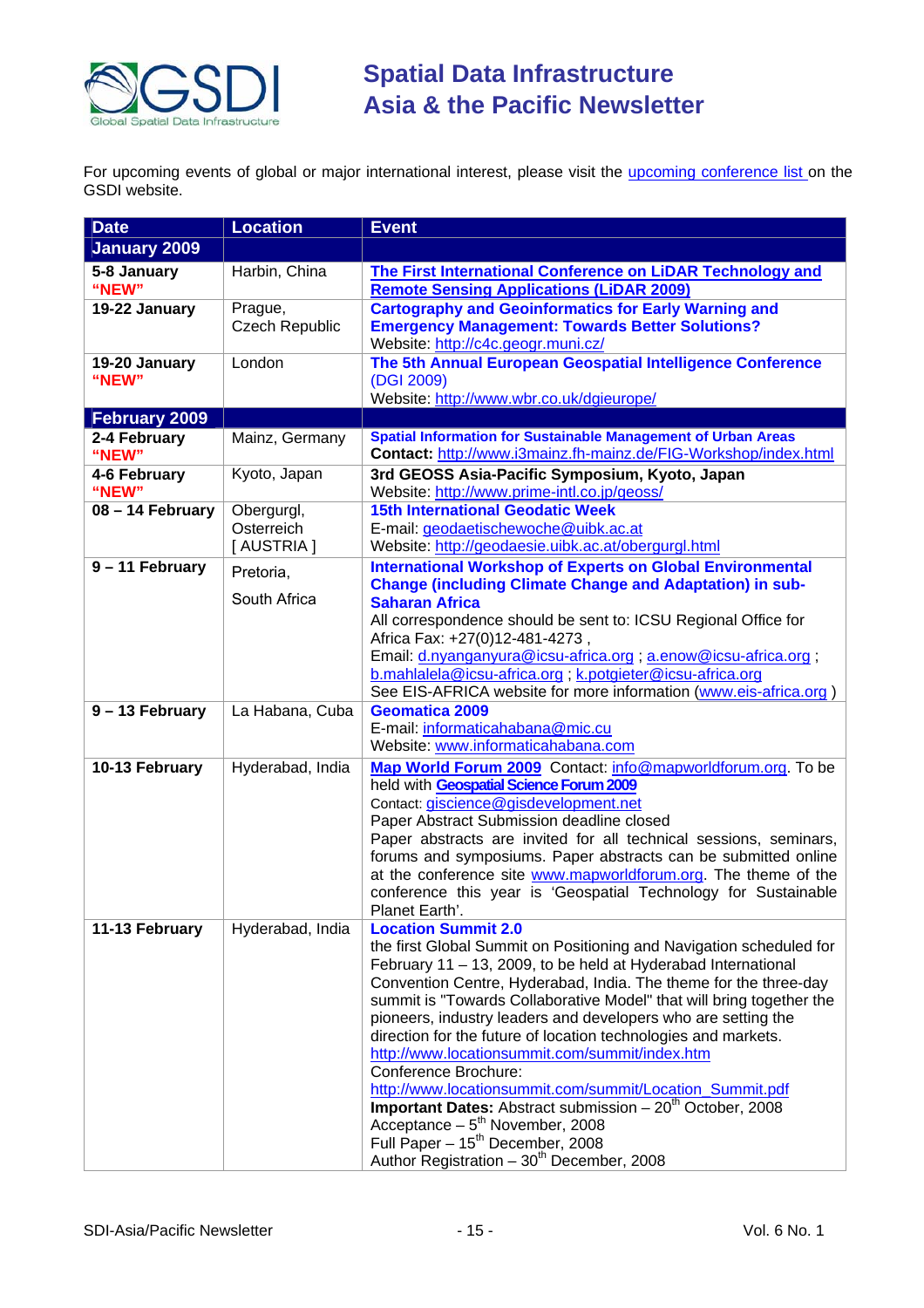

For upcoming events of global or major international interest, please visit the *upcoming conference list* on the GSDI website.

| <b>Date</b>            | <b>Location</b>                       | <b>Event</b>                                                                                                                                                                                                                                                                                                                                                                                                                                                                                                                                                                                                                                                                                                                                                                                                         |
|------------------------|---------------------------------------|----------------------------------------------------------------------------------------------------------------------------------------------------------------------------------------------------------------------------------------------------------------------------------------------------------------------------------------------------------------------------------------------------------------------------------------------------------------------------------------------------------------------------------------------------------------------------------------------------------------------------------------------------------------------------------------------------------------------------------------------------------------------------------------------------------------------|
| January 2009           |                                       |                                                                                                                                                                                                                                                                                                                                                                                                                                                                                                                                                                                                                                                                                                                                                                                                                      |
| 5-8 January<br>"NEW"   | Harbin, China                         | The First International Conference on LiDAR Technology and<br><b>Remote Sensing Applications (LiDAR 2009)</b>                                                                                                                                                                                                                                                                                                                                                                                                                                                                                                                                                                                                                                                                                                        |
| 19-22 January          | Prague,<br><b>Czech Republic</b>      | <b>Cartography and Geoinformatics for Early Warning and</b><br><b>Emergency Management: Towards Better Solutions?</b><br>Website: http://c4c.geogr.muni.cz/                                                                                                                                                                                                                                                                                                                                                                                                                                                                                                                                                                                                                                                          |
| 19-20 January<br>"NEW" | London                                | The 5th Annual European Geospatial Intelligence Conference<br>(DGI 2009)<br>Website: http://www.wbr.co.uk/dgieurope/                                                                                                                                                                                                                                                                                                                                                                                                                                                                                                                                                                                                                                                                                                 |
| <b>February 2009</b>   |                                       |                                                                                                                                                                                                                                                                                                                                                                                                                                                                                                                                                                                                                                                                                                                                                                                                                      |
| 2-4 February<br>"NEW"  | Mainz, Germany                        | <b>Spatial Information for Sustainable Management of Urban Areas</b><br>Contact: http://www.i3mainz.fh-mainz.de/FIG-Workshop/index.html                                                                                                                                                                                                                                                                                                                                                                                                                                                                                                                                                                                                                                                                              |
| 4-6 February<br>"NEW"  | Kyoto, Japan                          | 3rd GEOSS Asia-Pacific Symposium, Kyoto, Japan<br>Website: http://www.prime-intl.co.jp/geoss/                                                                                                                                                                                                                                                                                                                                                                                                                                                                                                                                                                                                                                                                                                                        |
| 08 - 14 February       | Obergurgl,<br>Osterreich<br>[AUSTRIA] | <b>15th International Geodatic Week</b><br>E-mail: geodaetischewoche@uibk.ac.at<br>Website: http://geodaesie.uibk.ac.at/obergurgl.html                                                                                                                                                                                                                                                                                                                                                                                                                                                                                                                                                                                                                                                                               |
| 9 - 11 February        | Pretoria,<br>South Africa             | <b>International Workshop of Experts on Global Environmental</b><br><b>Change (including Climate Change and Adaptation) in sub-</b><br><b>Saharan Africa</b><br>All correspondence should be sent to: ICSU Regional Office for<br>Africa Fax: +27(0)12-481-4273,<br>Email: d.nyanganyura@icsu-africa.org ; a.enow@icsu-africa.org ;<br>b.mahlalela@icsu-africa.org; k.potgieter@icsu-africa.org<br>See EIS-AFRICA website for more information (www.eis-africa.org)                                                                                                                                                                                                                                                                                                                                                  |
| 9 - 13 February        | La Habana, Cuba                       | <b>Geomatica 2009</b><br>E-mail: informaticahabana@mic.cu<br>Website: www.informaticahabana.com                                                                                                                                                                                                                                                                                                                                                                                                                                                                                                                                                                                                                                                                                                                      |
| 10-13 February         | Hyderabad, India                      | Map World Forum 2009 Contact: info@mapworldforum.org. To be<br>held with Geospatial Science Forum 2009<br>Contact: giscience@gisdevelopment.net<br>Paper Abstract Submission deadline closed<br>Paper abstracts are invited for all technical sessions, seminars,<br>forums and symposiums. Paper abstracts can be submitted online<br>at the conference site www.mapworldforum.org. The theme of the<br>conference this year is 'Geospatial Technology for Sustainable<br>Planet Earth'.                                                                                                                                                                                                                                                                                                                            |
| 11-13 February         | Hyderabad, India                      | <b>Location Summit 2.0</b><br>the first Global Summit on Positioning and Navigation scheduled for<br>February 11 - 13, 2009, to be held at Hyderabad International<br>Convention Centre, Hyderabad, India. The theme for the three-day<br>summit is "Towards Collaborative Model" that will bring together the<br>pioneers, industry leaders and developers who are setting the<br>direction for the future of location technologies and markets.<br>http://www.locationsummit.com/summit/index.htm<br>Conference Brochure:<br>http://www.locationsummit.com/summit/Location Summit.pdf<br><b>Important Dates:</b> Abstract submission $-20th$ October, 2008<br>Acceptance - 5 <sup>th</sup> November, 2008<br>Full Paper - 15 <sup>th</sup> December, 2008<br>Author Registration - 30 <sup>th</sup> December, 2008 |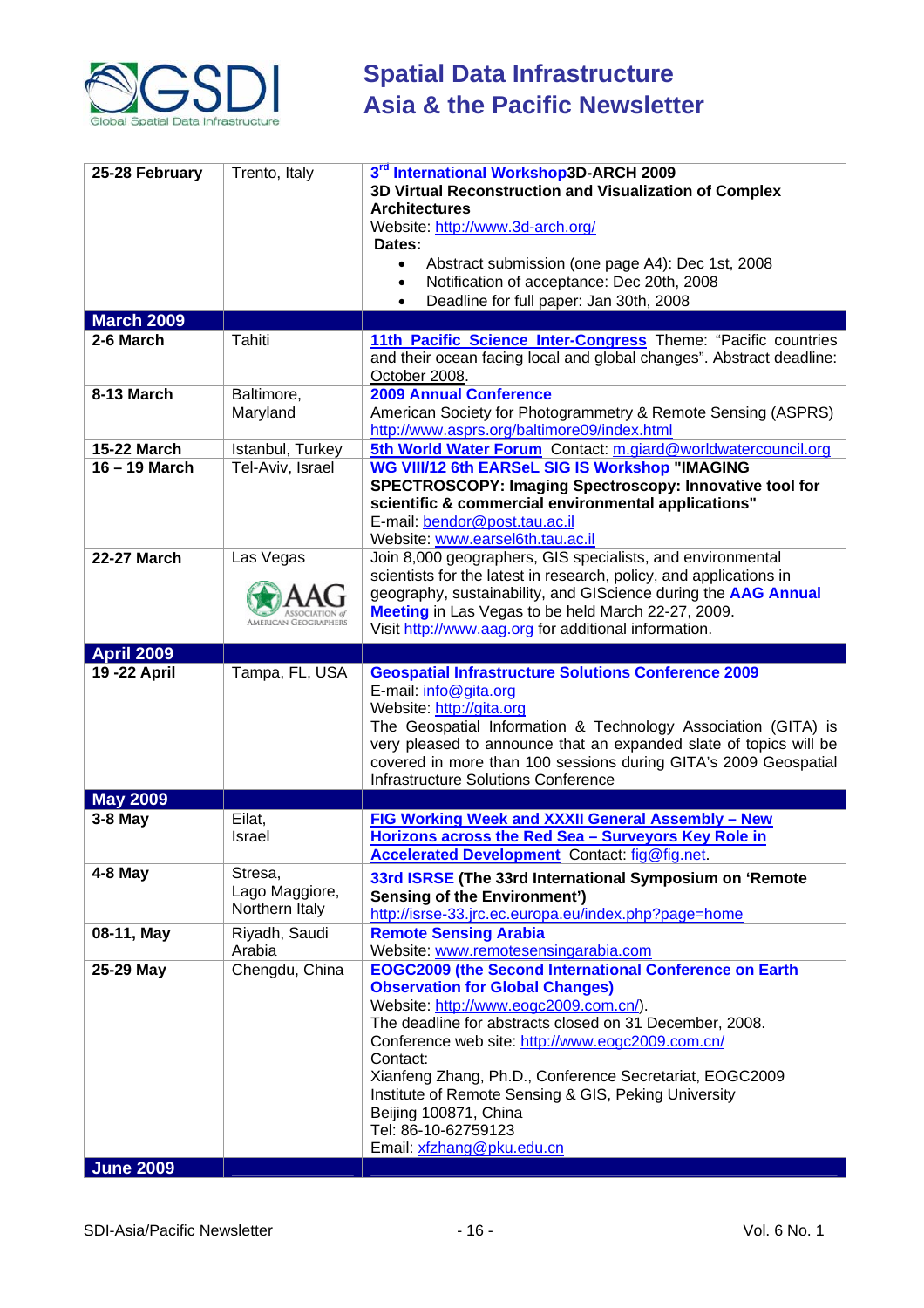

| 25-28 February                | Trento, Italy                               | 3rd International Workshop3D-ARCH 2009<br>3D Virtual Reconstruction and Visualization of Complex<br><b>Architectures</b><br>Website: http://www.3d-arch.org/<br>Dates:<br>Abstract submission (one page A4): Dec 1st, 2008<br>Notification of acceptance: Dec 20th, 2008<br>Deadline for full paper: Jan 30th, 2008<br>$\bullet$                                                                                                                                             |
|-------------------------------|---------------------------------------------|------------------------------------------------------------------------------------------------------------------------------------------------------------------------------------------------------------------------------------------------------------------------------------------------------------------------------------------------------------------------------------------------------------------------------------------------------------------------------|
| <b>March 2009</b>             |                                             |                                                                                                                                                                                                                                                                                                                                                                                                                                                                              |
| 2-6 March                     | Tahiti                                      | 11th Pacific Science Inter-Congress Theme: "Pacific countries<br>and their ocean facing local and global changes". Abstract deadline:<br>October 2008.                                                                                                                                                                                                                                                                                                                       |
| 8-13 March                    | Baltimore,<br>Maryland                      | <b>2009 Annual Conference</b><br>American Society for Photogrammetry & Remote Sensing (ASPRS)<br>http://www.asprs.org/baltimore09/index.html                                                                                                                                                                                                                                                                                                                                 |
| <b>15-22 March</b>            | Istanbul, Turkey                            | 5th World Water Forum Contact: m.giard@worldwatercouncil.org                                                                                                                                                                                                                                                                                                                                                                                                                 |
| 16 - 19 March                 | Tel-Aviv, Israel                            | WG VIII/12 6th EARSeL SIG IS Workshop "IMAGING<br>SPECTROSCOPY: Imaging Spectroscopy: Innovative tool for<br>scientific & commercial environmental applications"<br>E-mail: bendor@post.tau.ac.il<br>Website: www.earsel6th.tau.ac.il                                                                                                                                                                                                                                        |
| <b>22-27 March</b>            | Las Vegas<br>MERICAN GEOGRAPHERS            | Join 8,000 geographers, GIS specialists, and environmental<br>scientists for the latest in research, policy, and applications in<br>geography, sustainability, and GIScience during the AAG Annual<br>Meeting in Las Vegas to be held March 22-27, 2009.<br>Visit http://www.aag.org for additional information.                                                                                                                                                             |
| <b>April 2009</b>             |                                             |                                                                                                                                                                                                                                                                                                                                                                                                                                                                              |
| 19 - 22 April                 | Tampa, FL, USA                              | <b>Geospatial Infrastructure Solutions Conference 2009</b><br>E-mail: info@gita.org<br>Website: http://gita.org<br>The Geospatial Information & Technology Association (GITA) is<br>very pleased to announce that an expanded slate of topics will be<br>covered in more than 100 sessions during GITA's 2009 Geospatial<br><b>Infrastructure Solutions Conference</b>                                                                                                       |
| <b>May 2009</b>               |                                             |                                                                                                                                                                                                                                                                                                                                                                                                                                                                              |
| 3-8 May                       | Eilat,<br><b>Israel</b>                     | FIG Working Week and XXXII General Assembly - New<br>Horizons across the Red Sea - Surveyors Key Role in<br>Accelerated Development Contact: fig@fig.net                                                                                                                                                                                                                                                                                                                     |
| $4-8$ May                     | Stresa,<br>Lago Maggiore,<br>Northern Italy | 33rd ISRSE (The 33rd International Symposium on 'Remote<br><b>Sensing of the Environment')</b><br>http://isrse-33.jrc.ec.europa.eu/index.php?page=home                                                                                                                                                                                                                                                                                                                       |
| 08-11, May                    | Riyadh, Saudi<br>Arabia                     | <b>Remote Sensing Arabia</b><br>Website: www.remotesensingarabia.com                                                                                                                                                                                                                                                                                                                                                                                                         |
| 25-29 May<br><b>June 2009</b> | Chengdu, China                              | <b>EOGC2009 (the Second International Conference on Earth</b><br><b>Observation for Global Changes)</b><br>Website: http://www.eogc2009.com.cn/).<br>The deadline for abstracts closed on 31 December, 2008.<br>Conference web site: http://www.eogc2009.com.cn/<br>Contact:<br>Xianfeng Zhang, Ph.D., Conference Secretariat, EOGC2009<br>Institute of Remote Sensing & GIS, Peking University<br>Beijing 100871, China<br>Tel: 86-10-62759123<br>Email: xfzhang@pku.edu.cn |
|                               |                                             |                                                                                                                                                                                                                                                                                                                                                                                                                                                                              |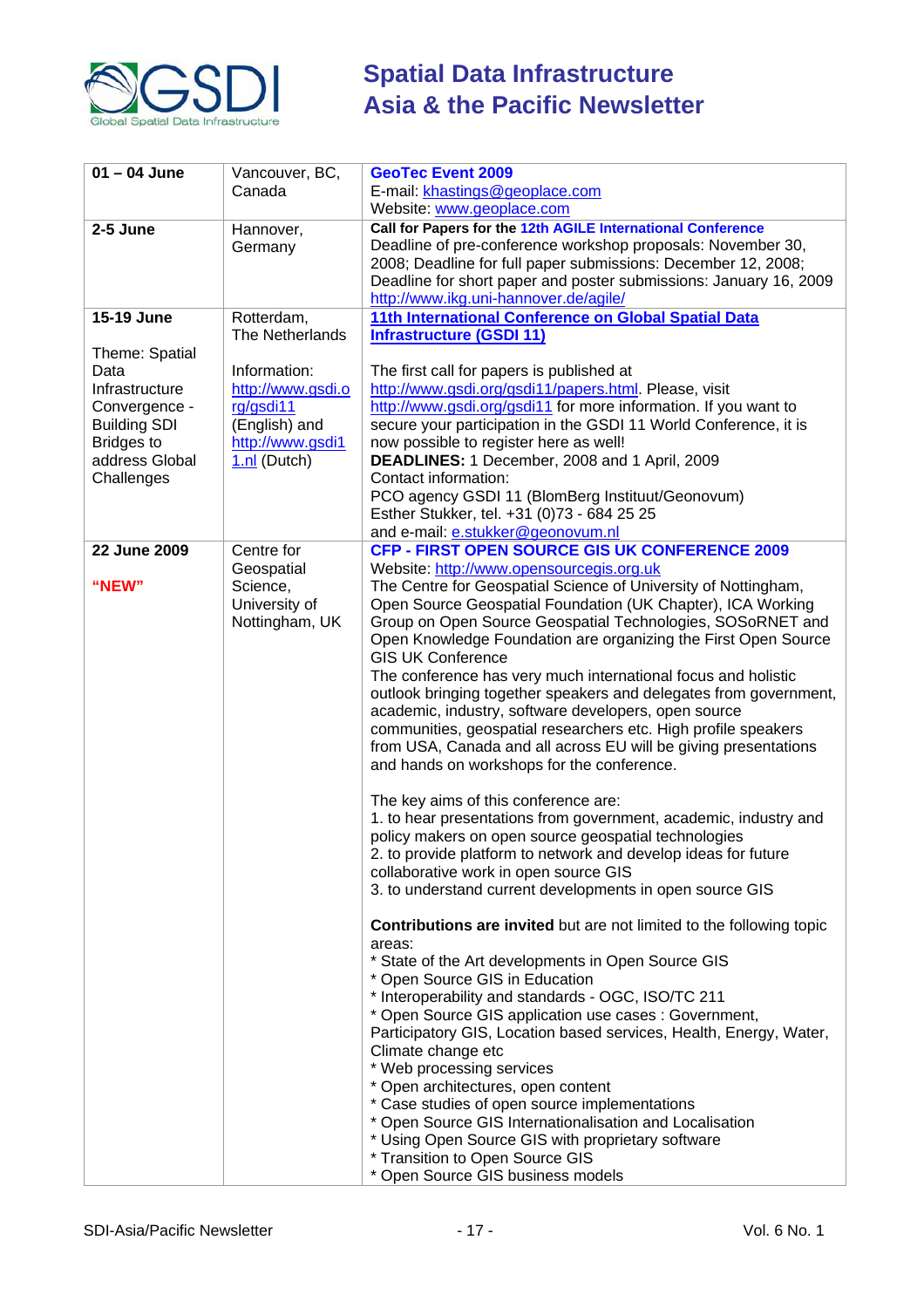

| $01 - 04$ June                                                                                                                        | Vancouver, BC,<br>Canada                                                                            | <b>GeoTec Event 2009</b><br>E-mail: khastings@geoplace.com                                                                                                                                                                                                                                                                                                                                                                                                                                                                                                                                                                                                                                                                                                                                                                                                                                                                                                                                                                                                                                                                                       |
|---------------------------------------------------------------------------------------------------------------------------------------|-----------------------------------------------------------------------------------------------------|--------------------------------------------------------------------------------------------------------------------------------------------------------------------------------------------------------------------------------------------------------------------------------------------------------------------------------------------------------------------------------------------------------------------------------------------------------------------------------------------------------------------------------------------------------------------------------------------------------------------------------------------------------------------------------------------------------------------------------------------------------------------------------------------------------------------------------------------------------------------------------------------------------------------------------------------------------------------------------------------------------------------------------------------------------------------------------------------------------------------------------------------------|
|                                                                                                                                       |                                                                                                     | Website: www.geoplace.com                                                                                                                                                                                                                                                                                                                                                                                                                                                                                                                                                                                                                                                                                                                                                                                                                                                                                                                                                                                                                                                                                                                        |
| 2-5 June                                                                                                                              | Hannover,<br>Germany                                                                                | Call for Papers for the 12th AGILE International Conference<br>Deadline of pre-conference workshop proposals: November 30,<br>2008; Deadline for full paper submissions: December 12, 2008;<br>Deadline for short paper and poster submissions: January 16, 2009<br>http://www.ikg.uni-hannover.de/agile/                                                                                                                                                                                                                                                                                                                                                                                                                                                                                                                                                                                                                                                                                                                                                                                                                                        |
| <b>15-19 June</b>                                                                                                                     | Rotterdam,<br>The Netherlands                                                                       | 11th International Conference on Global Spatial Data<br><b>Infrastructure (GSDI 11)</b>                                                                                                                                                                                                                                                                                                                                                                                                                                                                                                                                                                                                                                                                                                                                                                                                                                                                                                                                                                                                                                                          |
| Theme: Spatial<br>Data<br>Infrastructure<br>Convergence -<br><b>Building SDI</b><br><b>Bridges to</b><br>address Global<br>Challenges | Information:<br>http://www.gsdi.o<br>rg/gsdi11<br>(English) and<br>http://www.gsdi1<br>1.nl (Dutch) | The first call for papers is published at<br>http://www.gsdi.org/gsdi11/papers.html. Please, visit<br>http://www.gsdi.org/gsdi11 for more information. If you want to<br>secure your participation in the GSDI 11 World Conference, it is<br>now possible to register here as well!<br>DEADLINES: 1 December, 2008 and 1 April, 2009<br>Contact information:<br>PCO agency GSDI 11 (BlomBerg Instituut/Geonovum)<br>Esther Stukker, tel. +31 (0)73 - 684 25 25<br>and e-mail: e.stukker@geonovum.nl                                                                                                                                                                                                                                                                                                                                                                                                                                                                                                                                                                                                                                              |
| 22 June 2009                                                                                                                          | Centre for                                                                                          | CFP - FIRST OPEN SOURCE GIS UK CONFERENCE 2009                                                                                                                                                                                                                                                                                                                                                                                                                                                                                                                                                                                                                                                                                                                                                                                                                                                                                                                                                                                                                                                                                                   |
| "NEW"                                                                                                                                 | Geospatial<br>Science,<br>University of<br>Nottingham, UK                                           | Website: http://www.opensourcegis.org.uk<br>The Centre for Geospatial Science of University of Nottingham,<br>Open Source Geospatial Foundation (UK Chapter), ICA Working<br>Group on Open Source Geospatial Technologies, SOSoRNET and<br>Open Knowledge Foundation are organizing the First Open Source<br><b>GIS UK Conference</b><br>The conference has very much international focus and holistic<br>outlook bringing together speakers and delegates from government,<br>academic, industry, software developers, open source<br>communities, geospatial researchers etc. High profile speakers<br>from USA, Canada and all across EU will be giving presentations<br>and hands on workshops for the conference.<br>The key aims of this conference are:<br>1. to hear presentations from government, academic, industry and<br>policy makers on open source geospatial technologies<br>2. to provide platform to network and develop ideas for future<br>collaborative work in open source GIS<br>3. to understand current developments in open source GIS<br><b>Contributions are invited</b> but are not limited to the following topic |
|                                                                                                                                       |                                                                                                     | areas:<br>* State of the Art developments in Open Source GIS<br>* Open Source GIS in Education<br>* Interoperability and standards - OGC, ISO/TC 211<br>* Open Source GIS application use cases : Government,<br>Participatory GIS, Location based services, Health, Energy, Water,<br>Climate change etc<br>* Web processing services<br>* Open architectures, open content<br>* Case studies of open source implementations<br>* Open Source GIS Internationalisation and Localisation<br>* Using Open Source GIS with proprietary software<br>* Transition to Open Source GIS<br>* Open Source GIS business models                                                                                                                                                                                                                                                                                                                                                                                                                                                                                                                            |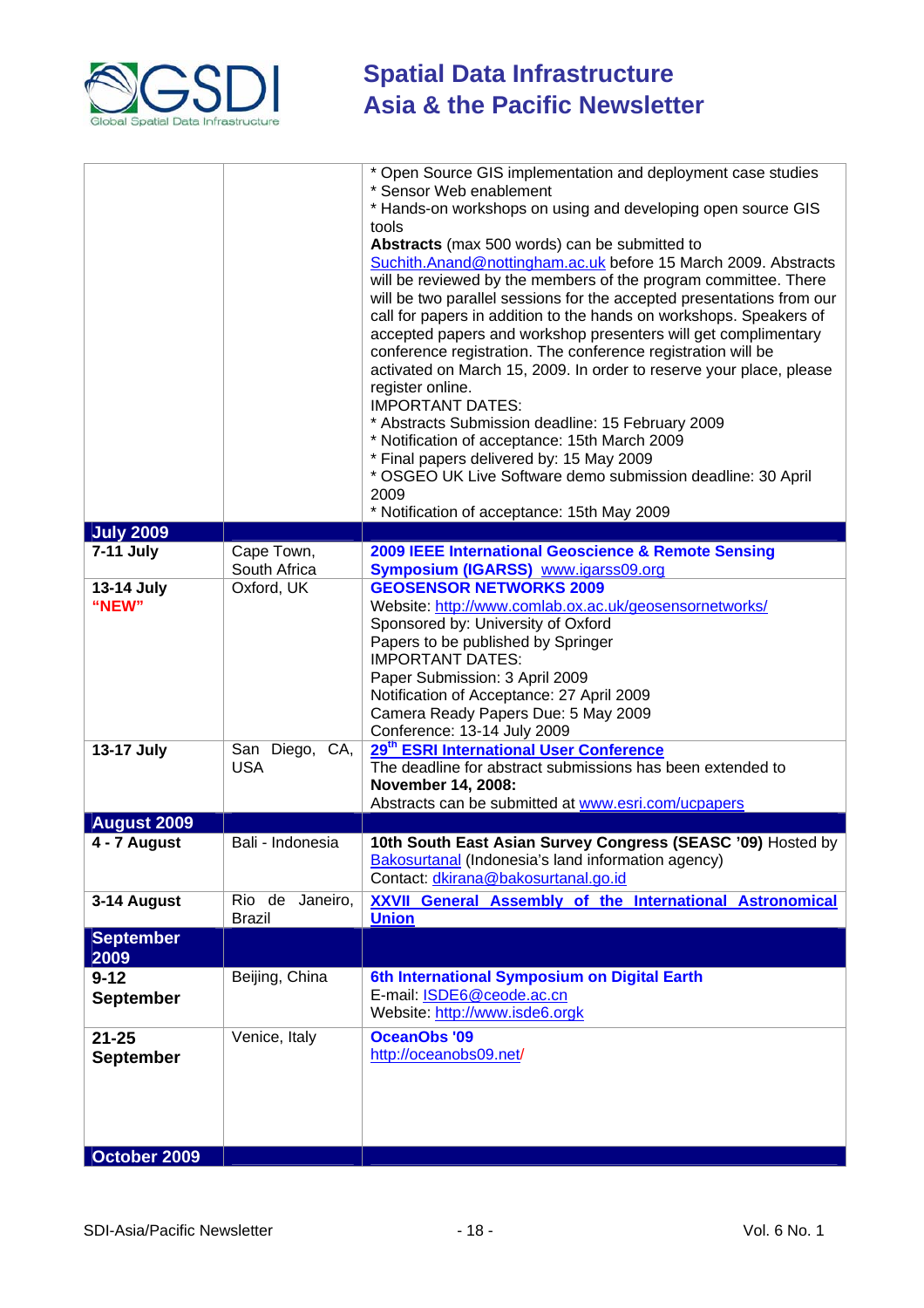

|                                    |                            | * Open Source GIS implementation and deployment case studies<br>* Sensor Web enablement                                                  |
|------------------------------------|----------------------------|------------------------------------------------------------------------------------------------------------------------------------------|
|                                    |                            | * Hands-on workshops on using and developing open source GIS                                                                             |
|                                    |                            | tools                                                                                                                                    |
|                                    |                            | Abstracts (max 500 words) can be submitted to                                                                                            |
|                                    |                            | Suchith.Anand@nottingham.ac.uk before 15 March 2009. Abstracts                                                                           |
|                                    |                            | will be reviewed by the members of the program committee. There<br>will be two parallel sessions for the accepted presentations from our |
|                                    |                            | call for papers in addition to the hands on workshops. Speakers of                                                                       |
|                                    |                            | accepted papers and workshop presenters will get complimentary                                                                           |
|                                    |                            | conference registration. The conference registration will be                                                                             |
|                                    |                            | activated on March 15, 2009. In order to reserve your place, please<br>register online.                                                  |
|                                    |                            | <b>IMPORTANT DATES:</b>                                                                                                                  |
|                                    |                            | * Abstracts Submission deadline: 15 February 2009                                                                                        |
|                                    |                            | * Notification of acceptance: 15th March 2009                                                                                            |
|                                    |                            | * Final papers delivered by: 15 May 2009<br>* OSGEO UK Live Software demo submission deadline: 30 April                                  |
|                                    |                            | 2009                                                                                                                                     |
|                                    |                            | * Notification of acceptance: 15th May 2009                                                                                              |
| <b>July 2009</b>                   |                            |                                                                                                                                          |
| <b>7-11 July</b>                   | Cape Town,<br>South Africa | 2009 IEEE International Geoscience & Remote Sensing<br><b>Symposium (IGARSS)</b> www.igarss09.org                                        |
| 13-14 July                         | Oxford, UK                 | <b>GEOSENSOR NETWORKS 2009</b>                                                                                                           |
| "NEW"                              |                            | Website: http://www.comlab.ox.ac.uk/geosensornetworks/                                                                                   |
|                                    |                            | Sponsored by: University of Oxford                                                                                                       |
|                                    |                            | Papers to be published by Springer<br><b>IMPORTANT DATES:</b>                                                                            |
|                                    |                            | Paper Submission: 3 April 2009                                                                                                           |
|                                    |                            | Notification of Acceptance: 27 April 2009                                                                                                |
|                                    |                            | Camera Ready Papers Due: 5 May 2009                                                                                                      |
| 13-17 July                         | San Diego, CA,             | Conference: 13-14 July 2009<br>29 <sup>th</sup> ESRI International User Conference                                                       |
|                                    | <b>USA</b>                 | The deadline for abstract submissions has been extended to                                                                               |
|                                    |                            | November 14, 2008:                                                                                                                       |
|                                    |                            | Abstracts can be submitted at www.esri.com/ucpapers                                                                                      |
| <b>August 2009</b><br>4 - 7 August | Bali - Indonesia           | 10th South East Asian Survey Congress (SEASC '09) Hosted by                                                                              |
|                                    |                            | Bakosurtanal (Indonesia's land information agency)                                                                                       |
|                                    |                            | Contact: dkirana@bakosurtanal.go.id                                                                                                      |
| 3-14 August                        | Rio de Janeiro,            | <b>XXVII General Assembly of the International Astronomical</b>                                                                          |
| <b>September</b>                   | <b>Brazil</b>              | <b>Union</b>                                                                                                                             |
| 2009                               |                            |                                                                                                                                          |
| $9 - 12$                           | Beijing, China             | 6th International Symposium on Digital Earth                                                                                             |
| <b>September</b>                   |                            | E-mail: ISDE6@ceode.ac.cn                                                                                                                |
|                                    |                            | Website: http://www.isde6.orgk                                                                                                           |
| $21 - 25$                          | Venice, Italy              | <b>OceanObs '09</b><br>http://oceanobs09.net/                                                                                            |
| <b>September</b>                   |                            |                                                                                                                                          |
|                                    |                            |                                                                                                                                          |
|                                    |                            |                                                                                                                                          |
|                                    |                            |                                                                                                                                          |
| October 2009                       |                            |                                                                                                                                          |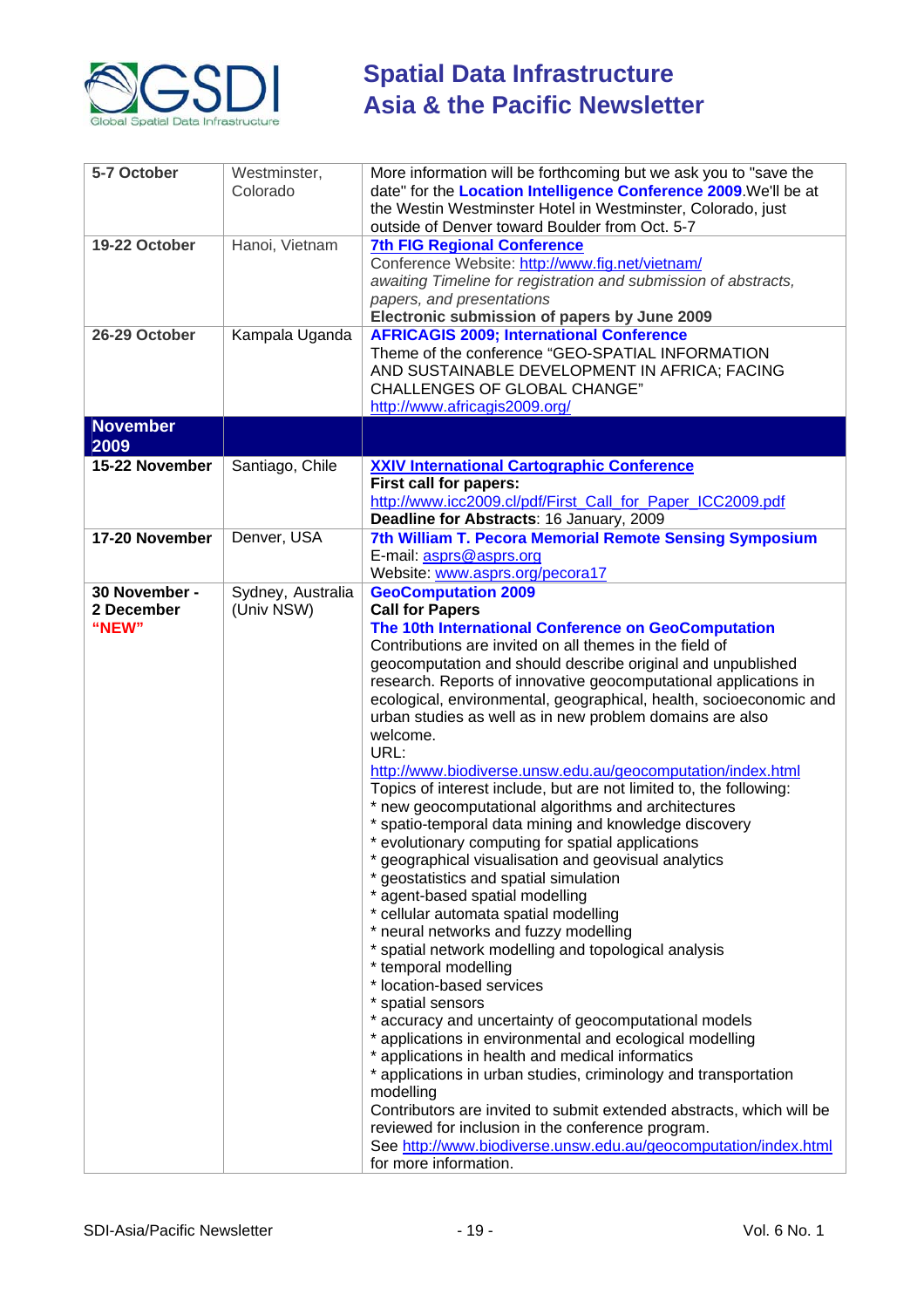

| 5-7 October                          | Westminster,<br>Colorado        | More information will be forthcoming but we ask you to "save the<br>date" for the Location Intelligence Conference 2009. We'll be at<br>the Westin Westminster Hotel in Westminster, Colorado, just<br>outside of Denver toward Boulder from Oct. 5-7                                                                                                                                                                                                                                                                                                                                                                                                                                                                                                                                                                                                                                                                                                                                                                                                                                                                                                                                                                                                                                                                                                                                                                                                                                                                                                                                                              |
|--------------------------------------|---------------------------------|--------------------------------------------------------------------------------------------------------------------------------------------------------------------------------------------------------------------------------------------------------------------------------------------------------------------------------------------------------------------------------------------------------------------------------------------------------------------------------------------------------------------------------------------------------------------------------------------------------------------------------------------------------------------------------------------------------------------------------------------------------------------------------------------------------------------------------------------------------------------------------------------------------------------------------------------------------------------------------------------------------------------------------------------------------------------------------------------------------------------------------------------------------------------------------------------------------------------------------------------------------------------------------------------------------------------------------------------------------------------------------------------------------------------------------------------------------------------------------------------------------------------------------------------------------------------------------------------------------------------|
| 19-22 October                        | Hanoi, Vietnam                  | <b>7th FIG Regional Conference</b><br>Conference Website: http://www.fig.net/vietnam/<br>awaiting Timeline for registration and submission of abstracts,<br>papers, and presentations<br>Electronic submission of papers by June 2009                                                                                                                                                                                                                                                                                                                                                                                                                                                                                                                                                                                                                                                                                                                                                                                                                                                                                                                                                                                                                                                                                                                                                                                                                                                                                                                                                                              |
| 26-29 October                        | Kampala Uganda                  | <b>AFRICAGIS 2009; International Conference</b><br>Theme of the conference "GEO-SPATIAL INFORMATION<br>AND SUSTAINABLE DEVELOPMENT IN AFRICA; FACING<br><b>CHALLENGES OF GLOBAL CHANGE"</b><br>http://www.africagis2009.org/                                                                                                                                                                                                                                                                                                                                                                                                                                                                                                                                                                                                                                                                                                                                                                                                                                                                                                                                                                                                                                                                                                                                                                                                                                                                                                                                                                                       |
| <b>November</b><br>2009              |                                 |                                                                                                                                                                                                                                                                                                                                                                                                                                                                                                                                                                                                                                                                                                                                                                                                                                                                                                                                                                                                                                                                                                                                                                                                                                                                                                                                                                                                                                                                                                                                                                                                                    |
| 15-22 November                       | Santiago, Chile                 | <b>XXIV International Cartographic Conference</b><br>First call for papers:<br>http://www.icc2009.cl/pdf/First_Call_for_Paper_ICC2009.pdf<br>Deadline for Abstracts: 16 January, 2009                                                                                                                                                                                                                                                                                                                                                                                                                                                                                                                                                                                                                                                                                                                                                                                                                                                                                                                                                                                                                                                                                                                                                                                                                                                                                                                                                                                                                              |
| 17-20 November                       | Denver, USA                     | 7th William T. Pecora Memorial Remote Sensing Symposium<br>E-mail: asprs@asprs.org<br>Website: www.asprs.org/pecora17                                                                                                                                                                                                                                                                                                                                                                                                                                                                                                                                                                                                                                                                                                                                                                                                                                                                                                                                                                                                                                                                                                                                                                                                                                                                                                                                                                                                                                                                                              |
| 30 November -<br>2 December<br>"NEW" | Sydney, Australia<br>(Univ NSW) | <b>GeoComputation 2009</b><br><b>Call for Papers</b><br>The 10th International Conference on GeoComputation<br>Contributions are invited on all themes in the field of<br>geocomputation and should describe original and unpublished<br>research. Reports of innovative geocomputational applications in<br>ecological, environmental, geographical, health, socioeconomic and<br>urban studies as well as in new problem domains are also<br>welcome.<br>URL:<br>http://www.biodiverse.unsw.edu.au/geocomputation/index.html<br>Topics of interest include, but are not limited to, the following:<br>* new geocomputational algorithms and architectures<br>* spatio-temporal data mining and knowledge discovery<br>* evolutionary computing for spatial applications<br>geographical visualisation and geovisual analytics<br>* geostatistics and spatial simulation<br>* agent-based spatial modelling<br>* cellular automata spatial modelling<br>* neural networks and fuzzy modelling<br>* spatial network modelling and topological analysis<br>* temporal modelling<br>* location-based services<br>* spatial sensors<br>* accuracy and uncertainty of geocomputational models<br>* applications in environmental and ecological modelling<br>* applications in health and medical informatics<br>* applications in urban studies, criminology and transportation<br>modelling<br>Contributors are invited to submit extended abstracts, which will be<br>reviewed for inclusion in the conference program.<br>See http://www.biodiverse.unsw.edu.au/geocomputation/index.html<br>for more information. |